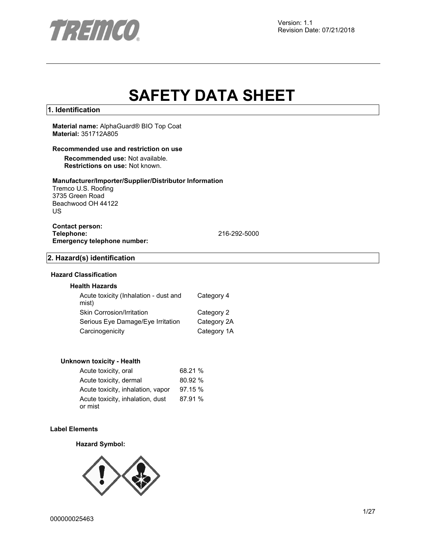

# **SAFETY DATA SHEET**

## **1. Identification**

### **Material name:** AlphaGuard® BIO Top Coat **Material:** 351712A805

## **Recommended use and restriction on use**

**Recommended use:** Not available. **Restrictions on use:** Not known.

## **Manufacturer/Importer/Supplier/Distributor Information**

Tremco U.S. Roofing 3735 Green Road Beachwood OH 44122 US

## **Contact person: Emergency telephone number:**

**Telephone:** 216-292-5000

## **2. Hazard(s) identification**

## **Hazard Classification**

## **Health Hazards**

| Acute toxicity (Inhalation - dust and<br>mist) | Category 4  |
|------------------------------------------------|-------------|
| Skin Corrosion/Irritation                      | Category 2  |
| Serious Eye Damage/Eye Irritation              | Category 2A |
| Carcinogenicity                                | Category 1A |

#### **Unknown toxicity - Health**

| Acute toxicity, oral                        | 68.21 % |
|---------------------------------------------|---------|
| Acute toxicity, dermal                      | 80.92 % |
| Acute toxicity, inhalation, vapor           | 97.15 % |
| Acute toxicity, inhalation, dust<br>or mist | 87.91 % |

## **Label Elements**

## **Hazard Symbol:**

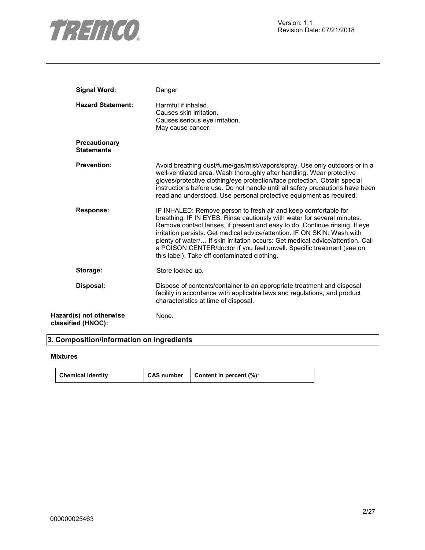

| <b>Signal Word:</b>                           | Danger                                                                                                                                                                                                                                                                                                                                                                                                                                                                                                          |
|-----------------------------------------------|-----------------------------------------------------------------------------------------------------------------------------------------------------------------------------------------------------------------------------------------------------------------------------------------------------------------------------------------------------------------------------------------------------------------------------------------------------------------------------------------------------------------|
| <b>Hazard Statement:</b>                      | Harmful if inhaled.<br>Causes skin irritation.<br>Causes serious eye irritation.<br>May cause cancer.                                                                                                                                                                                                                                                                                                                                                                                                           |
| <b>Precautionary</b><br><b>Statements</b>     |                                                                                                                                                                                                                                                                                                                                                                                                                                                                                                                 |
| <b>Prevention:</b>                            | Avoid breathing dust/fume/gas/mist/vapors/spray. Use only outdoors or in a<br>well-ventilated area. Wash thoroughly after handling. Wear protective<br>gloves/protective clothing/eye protection/face protection. Obtain special<br>instructions before use. Do not handle until all safety precautions have been<br>read and understood. Use personal protective equipment as required.                                                                                                                        |
| <b>Response:</b>                              | IF INHALED: Remove person to fresh air and keep comfortable for<br>breathing. IF IN EYES: Rinse cautiously with water for several minutes.<br>Remove contact lenses, if present and easy to do. Continue rinsing. If eye<br>irritation persists: Get medical advice/attention. IF ON SKIN: Wash with<br>plenty of water/ If skin irritation occurs: Get medical advice/attention. Call<br>a POISON CENTER/doctor if you feel unwell. Specific treatment (see on<br>this label). Take off contaminated clothing. |
| Storage:                                      | Store locked up.                                                                                                                                                                                                                                                                                                                                                                                                                                                                                                |
| Disposal:                                     | Dispose of contents/container to an appropriate treatment and disposal<br>facility in accordance with applicable laws and regulations, and product<br>characteristics at time of disposal.                                                                                                                                                                                                                                                                                                                      |
| Hazard(s) not otherwise<br>classified (HNOC): | None.                                                                                                                                                                                                                                                                                                                                                                                                                                                                                                           |

## **3. Composition/information on ingredients**

## **Mixtures**

| <b>Chemical Identity</b> | <b>CAS number</b> | Content in percent (%)* |
|--------------------------|-------------------|-------------------------|
|--------------------------|-------------------|-------------------------|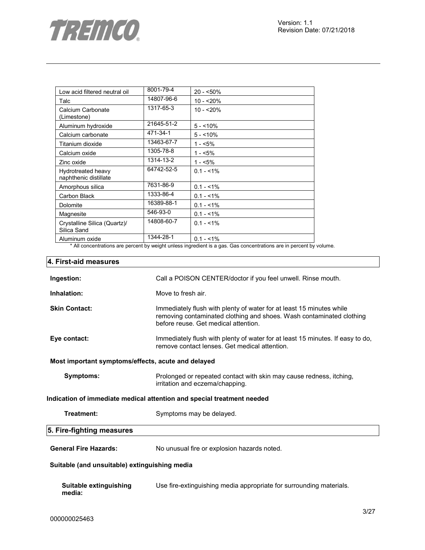

| Low acid filtered neutral oil               | 8001-79-4  | $20 - 50\%$ |
|---------------------------------------------|------------|-------------|
| Talc                                        | 14807-96-6 | $10 - 20%$  |
| Calcium Carbonate<br>(Limestone)            | 1317-65-3  | $10 - 20%$  |
| Aluminum hydroxide                          | 21645-51-2 | $5 - 10%$   |
| Calcium carbonate                           | 471-34-1   | $5 - 10%$   |
| Titanium dioxide                            | 13463-67-7 | 1 - <5%     |
| Calcium oxide                               | 1305-78-8  | $1 - 5%$    |
| Zinc oxide                                  | 1314-13-2  | $1 - 5%$    |
| Hydrotreated heavy<br>naphthenic distillate | 64742-52-5 | $0.1 - 1\%$ |
| Amorphous silica                            | 7631-86-9  | $0.1 - 1\%$ |
| Carbon Black                                | 1333-86-4  | $0.1 - 1\%$ |
| Dolomite                                    | 16389-88-1 | $0.1 - 1\%$ |
| Magnesite                                   | 546-93-0   | $0.1 - 1\%$ |
| Crystalline Silica (Quartz)/<br>Silica Sand | 14808-60-7 | $0.1 - 1\%$ |
| Aluminum oxide                              | 1344-28-1  | $0.1 - 1\%$ |

\* All concentrations are percent by weight unless ingredient is a gas. Gas concentrations are in percent by volume.

## **4. First-aid measures**

| Ingestion:                                                             | Call a POISON CENTER/doctor if you feel unwell. Rinse mouth.                                                                                                                         |  |  |
|------------------------------------------------------------------------|--------------------------------------------------------------------------------------------------------------------------------------------------------------------------------------|--|--|
| Inhalation:                                                            | Move to fresh air.                                                                                                                                                                   |  |  |
| <b>Skin Contact:</b>                                                   | Immediately flush with plenty of water for at least 15 minutes while<br>removing contaminated clothing and shoes. Wash contaminated clothing<br>before reuse. Get medical attention. |  |  |
| Eye contact:                                                           | Immediately flush with plenty of water for at least 15 minutes. If easy to do,<br>remove contact lenses. Get medical attention.                                                      |  |  |
| Most important symptoms/effects, acute and delayed                     |                                                                                                                                                                                      |  |  |
| Symptoms:                                                              | Prolonged or repeated contact with skin may cause redness, itching,<br>irritation and eczema/chapping.                                                                               |  |  |
| Indication of immediate medical attention and special treatment needed |                                                                                                                                                                                      |  |  |
| Treatment:                                                             | Symptoms may be delayed.                                                                                                                                                             |  |  |
| 5. Fire-fighting measures                                              |                                                                                                                                                                                      |  |  |
| <b>General Fire Hazards:</b>                                           | No unusual fire or explosion hazards noted.                                                                                                                                          |  |  |
| Suitable (and unsuitable) extinguishing media                          |                                                                                                                                                                                      |  |  |
| Suitable extinguishing<br>media:                                       | Use fire-extinguishing media appropriate for surrounding materials.                                                                                                                  |  |  |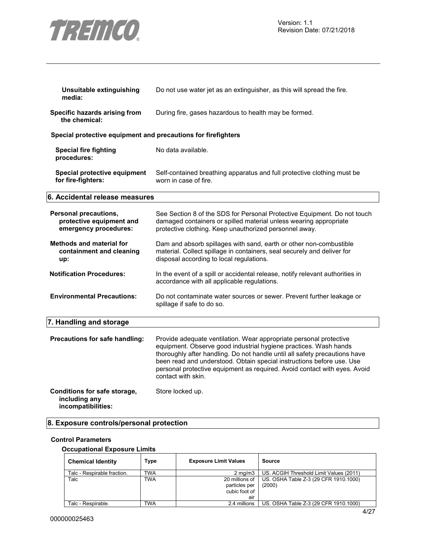

| Unsuitable extinguishing<br>media:                                         | Do not use water jet as an extinguisher, as this will spread the fire.                                                                                                                                                                                                                                                                                                                           |
|----------------------------------------------------------------------------|--------------------------------------------------------------------------------------------------------------------------------------------------------------------------------------------------------------------------------------------------------------------------------------------------------------------------------------------------------------------------------------------------|
| Specific hazards arising from<br>the chemical:                             | During fire, gases hazardous to health may be formed.                                                                                                                                                                                                                                                                                                                                            |
| Special protective equipment and precautions for firefighters              |                                                                                                                                                                                                                                                                                                                                                                                                  |
| <b>Special fire fighting</b><br>procedures:                                | No data available.                                                                                                                                                                                                                                                                                                                                                                               |
| Special protective equipment<br>for fire-fighters:                         | Self-contained breathing apparatus and full protective clothing must be<br>worn in case of fire.                                                                                                                                                                                                                                                                                                 |
| 6. Accidental release measures                                             |                                                                                                                                                                                                                                                                                                                                                                                                  |
| Personal precautions,<br>protective equipment and<br>emergency procedures: | See Section 8 of the SDS for Personal Protective Equipment. Do not touch<br>damaged containers or spilled material unless wearing appropriate<br>protective clothing. Keep unauthorized personnel away.                                                                                                                                                                                          |
| <b>Methods and material for</b><br>containment and cleaning<br>up:         | Dam and absorb spillages with sand, earth or other non-combustible<br>material. Collect spillage in containers, seal securely and deliver for<br>disposal according to local regulations.                                                                                                                                                                                                        |
| <b>Notification Procedures:</b>                                            | In the event of a spill or accidental release, notify relevant authorities in<br>accordance with all applicable regulations.                                                                                                                                                                                                                                                                     |
| <b>Environmental Precautions:</b>                                          | Do not contaminate water sources or sewer. Prevent further leakage or<br>spillage if safe to do so.                                                                                                                                                                                                                                                                                              |
| 7. Handling and storage                                                    |                                                                                                                                                                                                                                                                                                                                                                                                  |
| Precautions for safe handling:                                             | Provide adequate ventilation. Wear appropriate personal protective<br>equipment. Observe good industrial hygiene practices. Wash hands<br>thoroughly after handling. Do not handle until all safety precautions have<br>been read and understood. Obtain special instructions before use. Use<br>personal protective equipment as required. Avoid contact with eyes. Avoid<br>contact with skin. |
| Conditions for safe storage,<br>including any<br>incompatibilities:        | Store locked up.                                                                                                                                                                                                                                                                                                                                                                                 |

## **8. Exposure controls/personal protection**

## **Control Parameters**

## **Occupational Exposure Limits**

| <b>Chemical Identity</b>    | Type       | <b>Exposure Limit Values</b>                            | Source                                          |
|-----------------------------|------------|---------------------------------------------------------|-------------------------------------------------|
| Talc - Respirable fraction. | <b>TWA</b> | $2 \text{ ma/m}$ 3                                      | US. ACGIH Threshold Limit Values (2011)         |
| Talc                        | <b>TWA</b> | 20 millions of<br>particles per<br>cubic foot of<br>air | US. OSHA Table Z-3 (29 CFR 1910.1000)<br>(2000) |
| Talc - Respirable.          | TWA        | 2.4 millions                                            | US. OSHA Table Z-3 (29 CFR 1910.1000)           |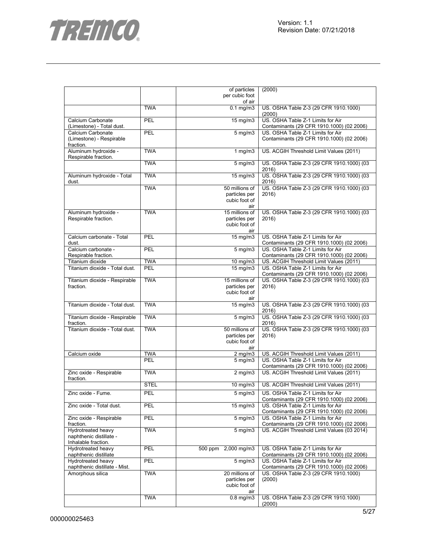



| of air<br><b>TWA</b><br>$0.1 \text{ mg/m}$<br>US. OSHA Table Z-3 (29 CFR 1910.1000)<br>(2000)<br>US. OSHA Table Z-1 Limits for Air<br>PEL<br>15 mg/m3<br>Calcium Carbonate<br>(Limestone) - Total dust.<br>Contaminants (29 CFR 1910.1000) (02 2006)<br>US. OSHA Table Z-1 Limits for Air<br>Calcium Carbonate<br>PEL<br>$5$ mg/m $3$<br>Contaminants (29 CFR 1910.1000) (02 2006)<br>(Limestone) - Respirable<br>fraction.<br>Aluminum hydroxide -<br><b>TWA</b><br>US. ACGIH Threshold Limit Values (2011)<br>1 $mg/m3$<br>Respirable fraction.<br><b>TWA</b><br>US. OSHA Table Z-3 (29 CFR 1910.1000) (03<br>$\frac{1}{5}$ mg/m3<br>2016)<br><b>TWA</b><br>US. OSHA Table Z-3 (29 CFR 1910.1000) (03<br>$15 \text{ mg/m}$<br>Aluminum hydroxide - Total<br>2016)<br>dust.<br><b>TWA</b><br>50 millions of<br>US. OSHA Table Z-3 (29 CFR 1910.1000) (03<br>particles per<br>2016)<br>cubic foot of<br>air<br><b>TWA</b><br>15 millions of<br>US. OSHA Table Z-3 (29 CFR 1910.1000) (03<br>Aluminum hydroxide -<br>Respirable fraction.<br>particles per<br>2016)<br>cubic foot of<br>air<br>15 mg/m3<br>US. OSHA Table Z-1 Limits for Air<br>Calcium carbonate - Total<br>PEL<br>Contaminants (29 CFR 1910.1000) (02 2006)<br>dust.<br>US. OSHA Table Z-1 Limits for Air<br>Calcium carbonate -<br>PEL<br>$5$ mg/m $3$<br>Respirable fraction.<br>Contaminants (29 CFR 1910.1000) (02 2006)<br><b>TWA</b><br>US. ACGIH Threshold Limit Values (2011)<br>Titanium dioxide<br>10 mg/m3<br>Titanium dioxide - Total dust.<br>PEL<br>15 mg/m3<br>US. OSHA Table Z-1 Limits for Air<br>Contaminants (29 CFR 1910.1000) (02 2006)<br><b>TWA</b><br>15 millions of<br>US. OSHA Table Z-3 (29 CFR 1910.1000) (03<br>Titanium dioxide - Respirable<br>particles per<br>2016)<br>fraction.<br>cubic foot of<br>air<br>Titanium dioxide - Total dust.<br><b>TWA</b><br>US. OSHA Table Z-3 (29 CFR 1910.1000) (03<br>$15$ mg/m $3$<br>2016)<br><b>TWA</b><br>US. OSHA Table Z-3 (29 CFR 1910.1000) (03<br>$5 \text{ mg/m}$<br>Titanium dioxide - Respirable<br>fraction.<br>2016)<br><b>TWA</b><br>50 millions of<br>Titanium dioxide - Total dust.<br>US. OSHA Table Z-3 (29 CFR 1910.1000) (03<br>particles per<br>2016)<br>cubic foot of<br>air<br><b>TWA</b><br>Calcium oxide<br>US. ACGIH Threshold Limit Values (2011)<br>$2$ mg/m $3$<br>PEL<br>US. OSHA Table Z-1 Limits for Air<br>$5$ mg/m $3$<br>Contaminants (29 CFR 1910.1000) (02 2006)<br><b>TWA</b><br>US. ACGIH Threshold Limit Values (2011)<br>Zinc oxide - Respirable<br>$2 \overline{\text{mg}}$ m3<br>fraction.<br><b>STEL</b><br>US. ACGIH Threshold Limit Values (2011)<br>10 mg/m3<br>Zinc oxide - Fume.<br>PEL<br>US. OSHA Table Z-1 Limits for Air<br>$5$ mg/m $3$<br>Contaminants (29 CFR 1910.1000) (02 2006)<br>Zinc oxide - Total dust.<br>PEL<br>$15 \text{ mg/m}$<br>US. OSHA Table Z-1 Limits for Air<br>Contaminants (29 CFR 1910.1000) (02 2006)<br>PEL<br>Zinc oxide - Respirable<br>$5$ mg/m $3$<br>US. OSHA Table Z-1 Limits for Air<br>fraction.<br>Contaminants (29 CFR 1910.1000) (02 2006)<br>Hydrotreated heavy<br><b>TWA</b><br>$5$ mg/m $3$<br>US. ACGIH Threshold Limit Values (03 2014)<br>naphthenic distillate -<br>Inhalable fraction.<br>Hydrotreated heavy<br>PEL<br>500 ppm 2,000 mg/m3<br>US. OSHA Table Z-1 Limits for Air<br>naphthenic distillate<br>Contaminants (29 CFR 1910.1000) (02 2006)<br>Hydrotreated heavy<br>PEL<br>$5$ mg/m $3$<br>US. OSHA Table Z-1 Limits for Air<br>naphthenic distillate - Mist.<br>Contaminants (29 CFR 1910.1000) (02 2006)<br>Amorphous silica<br><b>TWA</b><br>20 millions of<br>US. OSHA Table Z-3 (29 CFR 1910.1000)<br>particles per<br>(2000)<br>cubic foot of<br>air<br><b>TWA</b><br>$0.8$ mg/m $3$<br>US. OSHA Table Z-3 (29 CFR 1910.1000) |  | of particles   | (2000) |
|-----------------------------------------------------------------------------------------------------------------------------------------------------------------------------------------------------------------------------------------------------------------------------------------------------------------------------------------------------------------------------------------------------------------------------------------------------------------------------------------------------------------------------------------------------------------------------------------------------------------------------------------------------------------------------------------------------------------------------------------------------------------------------------------------------------------------------------------------------------------------------------------------------------------------------------------------------------------------------------------------------------------------------------------------------------------------------------------------------------------------------------------------------------------------------------------------------------------------------------------------------------------------------------------------------------------------------------------------------------------------------------------------------------------------------------------------------------------------------------------------------------------------------------------------------------------------------------------------------------------------------------------------------------------------------------------------------------------------------------------------------------------------------------------------------------------------------------------------------------------------------------------------------------------------------------------------------------------------------------------------------------------------------------------------------------------------------------------------------------------------------------------------------------------------------------------------------------------------------------------------------------------------------------------------------------------------------------------------------------------------------------------------------------------------------------------------------------------------------------------------------------------------------------------------------------------------------------------------------------------------------------------------------------------------------------------------------------------------------------------------------------------------------------------------------------------------------------------------------------------------------------------------------------------------------------------------------------------------------------------------------------------------------------------------------------------------------------------------------------------------------------------------------------------------------------------------------------------------------------------------------------------------------------------------------------------------------------------------------------------------------------------------------------------------------------------------------------------------------------------------------------------------------------------------------------------------------------------------------------------------------------------------------------------------------------------------------------------------------------------------------------------------------------------|--|----------------|--------|
|                                                                                                                                                                                                                                                                                                                                                                                                                                                                                                                                                                                                                                                                                                                                                                                                                                                                                                                                                                                                                                                                                                                                                                                                                                                                                                                                                                                                                                                                                                                                                                                                                                                                                                                                                                                                                                                                                                                                                                                                                                                                                                                                                                                                                                                                                                                                                                                                                                                                                                                                                                                                                                                                                                                                                                                                                                                                                                                                                                                                                                                                                                                                                                                                                                                                                                                                                                                                                                                                                                                                                                                                                                                                                                                                                                                         |  | per cubic foot |        |
|                                                                                                                                                                                                                                                                                                                                                                                                                                                                                                                                                                                                                                                                                                                                                                                                                                                                                                                                                                                                                                                                                                                                                                                                                                                                                                                                                                                                                                                                                                                                                                                                                                                                                                                                                                                                                                                                                                                                                                                                                                                                                                                                                                                                                                                                                                                                                                                                                                                                                                                                                                                                                                                                                                                                                                                                                                                                                                                                                                                                                                                                                                                                                                                                                                                                                                                                                                                                                                                                                                                                                                                                                                                                                                                                                                                         |  |                |        |
|                                                                                                                                                                                                                                                                                                                                                                                                                                                                                                                                                                                                                                                                                                                                                                                                                                                                                                                                                                                                                                                                                                                                                                                                                                                                                                                                                                                                                                                                                                                                                                                                                                                                                                                                                                                                                                                                                                                                                                                                                                                                                                                                                                                                                                                                                                                                                                                                                                                                                                                                                                                                                                                                                                                                                                                                                                                                                                                                                                                                                                                                                                                                                                                                                                                                                                                                                                                                                                                                                                                                                                                                                                                                                                                                                                                         |  |                |        |
|                                                                                                                                                                                                                                                                                                                                                                                                                                                                                                                                                                                                                                                                                                                                                                                                                                                                                                                                                                                                                                                                                                                                                                                                                                                                                                                                                                                                                                                                                                                                                                                                                                                                                                                                                                                                                                                                                                                                                                                                                                                                                                                                                                                                                                                                                                                                                                                                                                                                                                                                                                                                                                                                                                                                                                                                                                                                                                                                                                                                                                                                                                                                                                                                                                                                                                                                                                                                                                                                                                                                                                                                                                                                                                                                                                                         |  |                |        |
|                                                                                                                                                                                                                                                                                                                                                                                                                                                                                                                                                                                                                                                                                                                                                                                                                                                                                                                                                                                                                                                                                                                                                                                                                                                                                                                                                                                                                                                                                                                                                                                                                                                                                                                                                                                                                                                                                                                                                                                                                                                                                                                                                                                                                                                                                                                                                                                                                                                                                                                                                                                                                                                                                                                                                                                                                                                                                                                                                                                                                                                                                                                                                                                                                                                                                                                                                                                                                                                                                                                                                                                                                                                                                                                                                                                         |  |                |        |
|                                                                                                                                                                                                                                                                                                                                                                                                                                                                                                                                                                                                                                                                                                                                                                                                                                                                                                                                                                                                                                                                                                                                                                                                                                                                                                                                                                                                                                                                                                                                                                                                                                                                                                                                                                                                                                                                                                                                                                                                                                                                                                                                                                                                                                                                                                                                                                                                                                                                                                                                                                                                                                                                                                                                                                                                                                                                                                                                                                                                                                                                                                                                                                                                                                                                                                                                                                                                                                                                                                                                                                                                                                                                                                                                                                                         |  |                |        |
|                                                                                                                                                                                                                                                                                                                                                                                                                                                                                                                                                                                                                                                                                                                                                                                                                                                                                                                                                                                                                                                                                                                                                                                                                                                                                                                                                                                                                                                                                                                                                                                                                                                                                                                                                                                                                                                                                                                                                                                                                                                                                                                                                                                                                                                                                                                                                                                                                                                                                                                                                                                                                                                                                                                                                                                                                                                                                                                                                                                                                                                                                                                                                                                                                                                                                                                                                                                                                                                                                                                                                                                                                                                                                                                                                                                         |  |                |        |
|                                                                                                                                                                                                                                                                                                                                                                                                                                                                                                                                                                                                                                                                                                                                                                                                                                                                                                                                                                                                                                                                                                                                                                                                                                                                                                                                                                                                                                                                                                                                                                                                                                                                                                                                                                                                                                                                                                                                                                                                                                                                                                                                                                                                                                                                                                                                                                                                                                                                                                                                                                                                                                                                                                                                                                                                                                                                                                                                                                                                                                                                                                                                                                                                                                                                                                                                                                                                                                                                                                                                                                                                                                                                                                                                                                                         |  |                |        |
|                                                                                                                                                                                                                                                                                                                                                                                                                                                                                                                                                                                                                                                                                                                                                                                                                                                                                                                                                                                                                                                                                                                                                                                                                                                                                                                                                                                                                                                                                                                                                                                                                                                                                                                                                                                                                                                                                                                                                                                                                                                                                                                                                                                                                                                                                                                                                                                                                                                                                                                                                                                                                                                                                                                                                                                                                                                                                                                                                                                                                                                                                                                                                                                                                                                                                                                                                                                                                                                                                                                                                                                                                                                                                                                                                                                         |  |                |        |
|                                                                                                                                                                                                                                                                                                                                                                                                                                                                                                                                                                                                                                                                                                                                                                                                                                                                                                                                                                                                                                                                                                                                                                                                                                                                                                                                                                                                                                                                                                                                                                                                                                                                                                                                                                                                                                                                                                                                                                                                                                                                                                                                                                                                                                                                                                                                                                                                                                                                                                                                                                                                                                                                                                                                                                                                                                                                                                                                                                                                                                                                                                                                                                                                                                                                                                                                                                                                                                                                                                                                                                                                                                                                                                                                                                                         |  |                |        |
|                                                                                                                                                                                                                                                                                                                                                                                                                                                                                                                                                                                                                                                                                                                                                                                                                                                                                                                                                                                                                                                                                                                                                                                                                                                                                                                                                                                                                                                                                                                                                                                                                                                                                                                                                                                                                                                                                                                                                                                                                                                                                                                                                                                                                                                                                                                                                                                                                                                                                                                                                                                                                                                                                                                                                                                                                                                                                                                                                                                                                                                                                                                                                                                                                                                                                                                                                                                                                                                                                                                                                                                                                                                                                                                                                                                         |  |                |        |
|                                                                                                                                                                                                                                                                                                                                                                                                                                                                                                                                                                                                                                                                                                                                                                                                                                                                                                                                                                                                                                                                                                                                                                                                                                                                                                                                                                                                                                                                                                                                                                                                                                                                                                                                                                                                                                                                                                                                                                                                                                                                                                                                                                                                                                                                                                                                                                                                                                                                                                                                                                                                                                                                                                                                                                                                                                                                                                                                                                                                                                                                                                                                                                                                                                                                                                                                                                                                                                                                                                                                                                                                                                                                                                                                                                                         |  |                |        |
|                                                                                                                                                                                                                                                                                                                                                                                                                                                                                                                                                                                                                                                                                                                                                                                                                                                                                                                                                                                                                                                                                                                                                                                                                                                                                                                                                                                                                                                                                                                                                                                                                                                                                                                                                                                                                                                                                                                                                                                                                                                                                                                                                                                                                                                                                                                                                                                                                                                                                                                                                                                                                                                                                                                                                                                                                                                                                                                                                                                                                                                                                                                                                                                                                                                                                                                                                                                                                                                                                                                                                                                                                                                                                                                                                                                         |  |                |        |
|                                                                                                                                                                                                                                                                                                                                                                                                                                                                                                                                                                                                                                                                                                                                                                                                                                                                                                                                                                                                                                                                                                                                                                                                                                                                                                                                                                                                                                                                                                                                                                                                                                                                                                                                                                                                                                                                                                                                                                                                                                                                                                                                                                                                                                                                                                                                                                                                                                                                                                                                                                                                                                                                                                                                                                                                                                                                                                                                                                                                                                                                                                                                                                                                                                                                                                                                                                                                                                                                                                                                                                                                                                                                                                                                                                                         |  |                |        |
|                                                                                                                                                                                                                                                                                                                                                                                                                                                                                                                                                                                                                                                                                                                                                                                                                                                                                                                                                                                                                                                                                                                                                                                                                                                                                                                                                                                                                                                                                                                                                                                                                                                                                                                                                                                                                                                                                                                                                                                                                                                                                                                                                                                                                                                                                                                                                                                                                                                                                                                                                                                                                                                                                                                                                                                                                                                                                                                                                                                                                                                                                                                                                                                                                                                                                                                                                                                                                                                                                                                                                                                                                                                                                                                                                                                         |  |                |        |
|                                                                                                                                                                                                                                                                                                                                                                                                                                                                                                                                                                                                                                                                                                                                                                                                                                                                                                                                                                                                                                                                                                                                                                                                                                                                                                                                                                                                                                                                                                                                                                                                                                                                                                                                                                                                                                                                                                                                                                                                                                                                                                                                                                                                                                                                                                                                                                                                                                                                                                                                                                                                                                                                                                                                                                                                                                                                                                                                                                                                                                                                                                                                                                                                                                                                                                                                                                                                                                                                                                                                                                                                                                                                                                                                                                                         |  |                |        |
|                                                                                                                                                                                                                                                                                                                                                                                                                                                                                                                                                                                                                                                                                                                                                                                                                                                                                                                                                                                                                                                                                                                                                                                                                                                                                                                                                                                                                                                                                                                                                                                                                                                                                                                                                                                                                                                                                                                                                                                                                                                                                                                                                                                                                                                                                                                                                                                                                                                                                                                                                                                                                                                                                                                                                                                                                                                                                                                                                                                                                                                                                                                                                                                                                                                                                                                                                                                                                                                                                                                                                                                                                                                                                                                                                                                         |  |                |        |
|                                                                                                                                                                                                                                                                                                                                                                                                                                                                                                                                                                                                                                                                                                                                                                                                                                                                                                                                                                                                                                                                                                                                                                                                                                                                                                                                                                                                                                                                                                                                                                                                                                                                                                                                                                                                                                                                                                                                                                                                                                                                                                                                                                                                                                                                                                                                                                                                                                                                                                                                                                                                                                                                                                                                                                                                                                                                                                                                                                                                                                                                                                                                                                                                                                                                                                                                                                                                                                                                                                                                                                                                                                                                                                                                                                                         |  |                |        |
|                                                                                                                                                                                                                                                                                                                                                                                                                                                                                                                                                                                                                                                                                                                                                                                                                                                                                                                                                                                                                                                                                                                                                                                                                                                                                                                                                                                                                                                                                                                                                                                                                                                                                                                                                                                                                                                                                                                                                                                                                                                                                                                                                                                                                                                                                                                                                                                                                                                                                                                                                                                                                                                                                                                                                                                                                                                                                                                                                                                                                                                                                                                                                                                                                                                                                                                                                                                                                                                                                                                                                                                                                                                                                                                                                                                         |  |                |        |
|                                                                                                                                                                                                                                                                                                                                                                                                                                                                                                                                                                                                                                                                                                                                                                                                                                                                                                                                                                                                                                                                                                                                                                                                                                                                                                                                                                                                                                                                                                                                                                                                                                                                                                                                                                                                                                                                                                                                                                                                                                                                                                                                                                                                                                                                                                                                                                                                                                                                                                                                                                                                                                                                                                                                                                                                                                                                                                                                                                                                                                                                                                                                                                                                                                                                                                                                                                                                                                                                                                                                                                                                                                                                                                                                                                                         |  |                |        |
|                                                                                                                                                                                                                                                                                                                                                                                                                                                                                                                                                                                                                                                                                                                                                                                                                                                                                                                                                                                                                                                                                                                                                                                                                                                                                                                                                                                                                                                                                                                                                                                                                                                                                                                                                                                                                                                                                                                                                                                                                                                                                                                                                                                                                                                                                                                                                                                                                                                                                                                                                                                                                                                                                                                                                                                                                                                                                                                                                                                                                                                                                                                                                                                                                                                                                                                                                                                                                                                                                                                                                                                                                                                                                                                                                                                         |  |                |        |
|                                                                                                                                                                                                                                                                                                                                                                                                                                                                                                                                                                                                                                                                                                                                                                                                                                                                                                                                                                                                                                                                                                                                                                                                                                                                                                                                                                                                                                                                                                                                                                                                                                                                                                                                                                                                                                                                                                                                                                                                                                                                                                                                                                                                                                                                                                                                                                                                                                                                                                                                                                                                                                                                                                                                                                                                                                                                                                                                                                                                                                                                                                                                                                                                                                                                                                                                                                                                                                                                                                                                                                                                                                                                                                                                                                                         |  |                |        |
|                                                                                                                                                                                                                                                                                                                                                                                                                                                                                                                                                                                                                                                                                                                                                                                                                                                                                                                                                                                                                                                                                                                                                                                                                                                                                                                                                                                                                                                                                                                                                                                                                                                                                                                                                                                                                                                                                                                                                                                                                                                                                                                                                                                                                                                                                                                                                                                                                                                                                                                                                                                                                                                                                                                                                                                                                                                                                                                                                                                                                                                                                                                                                                                                                                                                                                                                                                                                                                                                                                                                                                                                                                                                                                                                                                                         |  |                |        |
|                                                                                                                                                                                                                                                                                                                                                                                                                                                                                                                                                                                                                                                                                                                                                                                                                                                                                                                                                                                                                                                                                                                                                                                                                                                                                                                                                                                                                                                                                                                                                                                                                                                                                                                                                                                                                                                                                                                                                                                                                                                                                                                                                                                                                                                                                                                                                                                                                                                                                                                                                                                                                                                                                                                                                                                                                                                                                                                                                                                                                                                                                                                                                                                                                                                                                                                                                                                                                                                                                                                                                                                                                                                                                                                                                                                         |  |                |        |
|                                                                                                                                                                                                                                                                                                                                                                                                                                                                                                                                                                                                                                                                                                                                                                                                                                                                                                                                                                                                                                                                                                                                                                                                                                                                                                                                                                                                                                                                                                                                                                                                                                                                                                                                                                                                                                                                                                                                                                                                                                                                                                                                                                                                                                                                                                                                                                                                                                                                                                                                                                                                                                                                                                                                                                                                                                                                                                                                                                                                                                                                                                                                                                                                                                                                                                                                                                                                                                                                                                                                                                                                                                                                                                                                                                                         |  |                |        |
|                                                                                                                                                                                                                                                                                                                                                                                                                                                                                                                                                                                                                                                                                                                                                                                                                                                                                                                                                                                                                                                                                                                                                                                                                                                                                                                                                                                                                                                                                                                                                                                                                                                                                                                                                                                                                                                                                                                                                                                                                                                                                                                                                                                                                                                                                                                                                                                                                                                                                                                                                                                                                                                                                                                                                                                                                                                                                                                                                                                                                                                                                                                                                                                                                                                                                                                                                                                                                                                                                                                                                                                                                                                                                                                                                                                         |  |                |        |
|                                                                                                                                                                                                                                                                                                                                                                                                                                                                                                                                                                                                                                                                                                                                                                                                                                                                                                                                                                                                                                                                                                                                                                                                                                                                                                                                                                                                                                                                                                                                                                                                                                                                                                                                                                                                                                                                                                                                                                                                                                                                                                                                                                                                                                                                                                                                                                                                                                                                                                                                                                                                                                                                                                                                                                                                                                                                                                                                                                                                                                                                                                                                                                                                                                                                                                                                                                                                                                                                                                                                                                                                                                                                                                                                                                                         |  |                |        |
|                                                                                                                                                                                                                                                                                                                                                                                                                                                                                                                                                                                                                                                                                                                                                                                                                                                                                                                                                                                                                                                                                                                                                                                                                                                                                                                                                                                                                                                                                                                                                                                                                                                                                                                                                                                                                                                                                                                                                                                                                                                                                                                                                                                                                                                                                                                                                                                                                                                                                                                                                                                                                                                                                                                                                                                                                                                                                                                                                                                                                                                                                                                                                                                                                                                                                                                                                                                                                                                                                                                                                                                                                                                                                                                                                                                         |  |                |        |
|                                                                                                                                                                                                                                                                                                                                                                                                                                                                                                                                                                                                                                                                                                                                                                                                                                                                                                                                                                                                                                                                                                                                                                                                                                                                                                                                                                                                                                                                                                                                                                                                                                                                                                                                                                                                                                                                                                                                                                                                                                                                                                                                                                                                                                                                                                                                                                                                                                                                                                                                                                                                                                                                                                                                                                                                                                                                                                                                                                                                                                                                                                                                                                                                                                                                                                                                                                                                                                                                                                                                                                                                                                                                                                                                                                                         |  |                |        |
|                                                                                                                                                                                                                                                                                                                                                                                                                                                                                                                                                                                                                                                                                                                                                                                                                                                                                                                                                                                                                                                                                                                                                                                                                                                                                                                                                                                                                                                                                                                                                                                                                                                                                                                                                                                                                                                                                                                                                                                                                                                                                                                                                                                                                                                                                                                                                                                                                                                                                                                                                                                                                                                                                                                                                                                                                                                                                                                                                                                                                                                                                                                                                                                                                                                                                                                                                                                                                                                                                                                                                                                                                                                                                                                                                                                         |  |                |        |
|                                                                                                                                                                                                                                                                                                                                                                                                                                                                                                                                                                                                                                                                                                                                                                                                                                                                                                                                                                                                                                                                                                                                                                                                                                                                                                                                                                                                                                                                                                                                                                                                                                                                                                                                                                                                                                                                                                                                                                                                                                                                                                                                                                                                                                                                                                                                                                                                                                                                                                                                                                                                                                                                                                                                                                                                                                                                                                                                                                                                                                                                                                                                                                                                                                                                                                                                                                                                                                                                                                                                                                                                                                                                                                                                                                                         |  |                |        |
|                                                                                                                                                                                                                                                                                                                                                                                                                                                                                                                                                                                                                                                                                                                                                                                                                                                                                                                                                                                                                                                                                                                                                                                                                                                                                                                                                                                                                                                                                                                                                                                                                                                                                                                                                                                                                                                                                                                                                                                                                                                                                                                                                                                                                                                                                                                                                                                                                                                                                                                                                                                                                                                                                                                                                                                                                                                                                                                                                                                                                                                                                                                                                                                                                                                                                                                                                                                                                                                                                                                                                                                                                                                                                                                                                                                         |  |                |        |
|                                                                                                                                                                                                                                                                                                                                                                                                                                                                                                                                                                                                                                                                                                                                                                                                                                                                                                                                                                                                                                                                                                                                                                                                                                                                                                                                                                                                                                                                                                                                                                                                                                                                                                                                                                                                                                                                                                                                                                                                                                                                                                                                                                                                                                                                                                                                                                                                                                                                                                                                                                                                                                                                                                                                                                                                                                                                                                                                                                                                                                                                                                                                                                                                                                                                                                                                                                                                                                                                                                                                                                                                                                                                                                                                                                                         |  |                |        |
|                                                                                                                                                                                                                                                                                                                                                                                                                                                                                                                                                                                                                                                                                                                                                                                                                                                                                                                                                                                                                                                                                                                                                                                                                                                                                                                                                                                                                                                                                                                                                                                                                                                                                                                                                                                                                                                                                                                                                                                                                                                                                                                                                                                                                                                                                                                                                                                                                                                                                                                                                                                                                                                                                                                                                                                                                                                                                                                                                                                                                                                                                                                                                                                                                                                                                                                                                                                                                                                                                                                                                                                                                                                                                                                                                                                         |  |                |        |
|                                                                                                                                                                                                                                                                                                                                                                                                                                                                                                                                                                                                                                                                                                                                                                                                                                                                                                                                                                                                                                                                                                                                                                                                                                                                                                                                                                                                                                                                                                                                                                                                                                                                                                                                                                                                                                                                                                                                                                                                                                                                                                                                                                                                                                                                                                                                                                                                                                                                                                                                                                                                                                                                                                                                                                                                                                                                                                                                                                                                                                                                                                                                                                                                                                                                                                                                                                                                                                                                                                                                                                                                                                                                                                                                                                                         |  |                |        |
|                                                                                                                                                                                                                                                                                                                                                                                                                                                                                                                                                                                                                                                                                                                                                                                                                                                                                                                                                                                                                                                                                                                                                                                                                                                                                                                                                                                                                                                                                                                                                                                                                                                                                                                                                                                                                                                                                                                                                                                                                                                                                                                                                                                                                                                                                                                                                                                                                                                                                                                                                                                                                                                                                                                                                                                                                                                                                                                                                                                                                                                                                                                                                                                                                                                                                                                                                                                                                                                                                                                                                                                                                                                                                                                                                                                         |  |                |        |
|                                                                                                                                                                                                                                                                                                                                                                                                                                                                                                                                                                                                                                                                                                                                                                                                                                                                                                                                                                                                                                                                                                                                                                                                                                                                                                                                                                                                                                                                                                                                                                                                                                                                                                                                                                                                                                                                                                                                                                                                                                                                                                                                                                                                                                                                                                                                                                                                                                                                                                                                                                                                                                                                                                                                                                                                                                                                                                                                                                                                                                                                                                                                                                                                                                                                                                                                                                                                                                                                                                                                                                                                                                                                                                                                                                                         |  |                |        |
|                                                                                                                                                                                                                                                                                                                                                                                                                                                                                                                                                                                                                                                                                                                                                                                                                                                                                                                                                                                                                                                                                                                                                                                                                                                                                                                                                                                                                                                                                                                                                                                                                                                                                                                                                                                                                                                                                                                                                                                                                                                                                                                                                                                                                                                                                                                                                                                                                                                                                                                                                                                                                                                                                                                                                                                                                                                                                                                                                                                                                                                                                                                                                                                                                                                                                                                                                                                                                                                                                                                                                                                                                                                                                                                                                                                         |  |                |        |
|                                                                                                                                                                                                                                                                                                                                                                                                                                                                                                                                                                                                                                                                                                                                                                                                                                                                                                                                                                                                                                                                                                                                                                                                                                                                                                                                                                                                                                                                                                                                                                                                                                                                                                                                                                                                                                                                                                                                                                                                                                                                                                                                                                                                                                                                                                                                                                                                                                                                                                                                                                                                                                                                                                                                                                                                                                                                                                                                                                                                                                                                                                                                                                                                                                                                                                                                                                                                                                                                                                                                                                                                                                                                                                                                                                                         |  |                |        |
|                                                                                                                                                                                                                                                                                                                                                                                                                                                                                                                                                                                                                                                                                                                                                                                                                                                                                                                                                                                                                                                                                                                                                                                                                                                                                                                                                                                                                                                                                                                                                                                                                                                                                                                                                                                                                                                                                                                                                                                                                                                                                                                                                                                                                                                                                                                                                                                                                                                                                                                                                                                                                                                                                                                                                                                                                                                                                                                                                                                                                                                                                                                                                                                                                                                                                                                                                                                                                                                                                                                                                                                                                                                                                                                                                                                         |  |                |        |
|                                                                                                                                                                                                                                                                                                                                                                                                                                                                                                                                                                                                                                                                                                                                                                                                                                                                                                                                                                                                                                                                                                                                                                                                                                                                                                                                                                                                                                                                                                                                                                                                                                                                                                                                                                                                                                                                                                                                                                                                                                                                                                                                                                                                                                                                                                                                                                                                                                                                                                                                                                                                                                                                                                                                                                                                                                                                                                                                                                                                                                                                                                                                                                                                                                                                                                                                                                                                                                                                                                                                                                                                                                                                                                                                                                                         |  |                |        |
|                                                                                                                                                                                                                                                                                                                                                                                                                                                                                                                                                                                                                                                                                                                                                                                                                                                                                                                                                                                                                                                                                                                                                                                                                                                                                                                                                                                                                                                                                                                                                                                                                                                                                                                                                                                                                                                                                                                                                                                                                                                                                                                                                                                                                                                                                                                                                                                                                                                                                                                                                                                                                                                                                                                                                                                                                                                                                                                                                                                                                                                                                                                                                                                                                                                                                                                                                                                                                                                                                                                                                                                                                                                                                                                                                                                         |  |                |        |
|                                                                                                                                                                                                                                                                                                                                                                                                                                                                                                                                                                                                                                                                                                                                                                                                                                                                                                                                                                                                                                                                                                                                                                                                                                                                                                                                                                                                                                                                                                                                                                                                                                                                                                                                                                                                                                                                                                                                                                                                                                                                                                                                                                                                                                                                                                                                                                                                                                                                                                                                                                                                                                                                                                                                                                                                                                                                                                                                                                                                                                                                                                                                                                                                                                                                                                                                                                                                                                                                                                                                                                                                                                                                                                                                                                                         |  |                |        |
|                                                                                                                                                                                                                                                                                                                                                                                                                                                                                                                                                                                                                                                                                                                                                                                                                                                                                                                                                                                                                                                                                                                                                                                                                                                                                                                                                                                                                                                                                                                                                                                                                                                                                                                                                                                                                                                                                                                                                                                                                                                                                                                                                                                                                                                                                                                                                                                                                                                                                                                                                                                                                                                                                                                                                                                                                                                                                                                                                                                                                                                                                                                                                                                                                                                                                                                                                                                                                                                                                                                                                                                                                                                                                                                                                                                         |  |                |        |
|                                                                                                                                                                                                                                                                                                                                                                                                                                                                                                                                                                                                                                                                                                                                                                                                                                                                                                                                                                                                                                                                                                                                                                                                                                                                                                                                                                                                                                                                                                                                                                                                                                                                                                                                                                                                                                                                                                                                                                                                                                                                                                                                                                                                                                                                                                                                                                                                                                                                                                                                                                                                                                                                                                                                                                                                                                                                                                                                                                                                                                                                                                                                                                                                                                                                                                                                                                                                                                                                                                                                                                                                                                                                                                                                                                                         |  |                |        |
|                                                                                                                                                                                                                                                                                                                                                                                                                                                                                                                                                                                                                                                                                                                                                                                                                                                                                                                                                                                                                                                                                                                                                                                                                                                                                                                                                                                                                                                                                                                                                                                                                                                                                                                                                                                                                                                                                                                                                                                                                                                                                                                                                                                                                                                                                                                                                                                                                                                                                                                                                                                                                                                                                                                                                                                                                                                                                                                                                                                                                                                                                                                                                                                                                                                                                                                                                                                                                                                                                                                                                                                                                                                                                                                                                                                         |  |                |        |
|                                                                                                                                                                                                                                                                                                                                                                                                                                                                                                                                                                                                                                                                                                                                                                                                                                                                                                                                                                                                                                                                                                                                                                                                                                                                                                                                                                                                                                                                                                                                                                                                                                                                                                                                                                                                                                                                                                                                                                                                                                                                                                                                                                                                                                                                                                                                                                                                                                                                                                                                                                                                                                                                                                                                                                                                                                                                                                                                                                                                                                                                                                                                                                                                                                                                                                                                                                                                                                                                                                                                                                                                                                                                                                                                                                                         |  |                |        |
|                                                                                                                                                                                                                                                                                                                                                                                                                                                                                                                                                                                                                                                                                                                                                                                                                                                                                                                                                                                                                                                                                                                                                                                                                                                                                                                                                                                                                                                                                                                                                                                                                                                                                                                                                                                                                                                                                                                                                                                                                                                                                                                                                                                                                                                                                                                                                                                                                                                                                                                                                                                                                                                                                                                                                                                                                                                                                                                                                                                                                                                                                                                                                                                                                                                                                                                                                                                                                                                                                                                                                                                                                                                                                                                                                                                         |  |                |        |
|                                                                                                                                                                                                                                                                                                                                                                                                                                                                                                                                                                                                                                                                                                                                                                                                                                                                                                                                                                                                                                                                                                                                                                                                                                                                                                                                                                                                                                                                                                                                                                                                                                                                                                                                                                                                                                                                                                                                                                                                                                                                                                                                                                                                                                                                                                                                                                                                                                                                                                                                                                                                                                                                                                                                                                                                                                                                                                                                                                                                                                                                                                                                                                                                                                                                                                                                                                                                                                                                                                                                                                                                                                                                                                                                                                                         |  |                |        |
|                                                                                                                                                                                                                                                                                                                                                                                                                                                                                                                                                                                                                                                                                                                                                                                                                                                                                                                                                                                                                                                                                                                                                                                                                                                                                                                                                                                                                                                                                                                                                                                                                                                                                                                                                                                                                                                                                                                                                                                                                                                                                                                                                                                                                                                                                                                                                                                                                                                                                                                                                                                                                                                                                                                                                                                                                                                                                                                                                                                                                                                                                                                                                                                                                                                                                                                                                                                                                                                                                                                                                                                                                                                                                                                                                                                         |  |                |        |
|                                                                                                                                                                                                                                                                                                                                                                                                                                                                                                                                                                                                                                                                                                                                                                                                                                                                                                                                                                                                                                                                                                                                                                                                                                                                                                                                                                                                                                                                                                                                                                                                                                                                                                                                                                                                                                                                                                                                                                                                                                                                                                                                                                                                                                                                                                                                                                                                                                                                                                                                                                                                                                                                                                                                                                                                                                                                                                                                                                                                                                                                                                                                                                                                                                                                                                                                                                                                                                                                                                                                                                                                                                                                                                                                                                                         |  |                |        |
|                                                                                                                                                                                                                                                                                                                                                                                                                                                                                                                                                                                                                                                                                                                                                                                                                                                                                                                                                                                                                                                                                                                                                                                                                                                                                                                                                                                                                                                                                                                                                                                                                                                                                                                                                                                                                                                                                                                                                                                                                                                                                                                                                                                                                                                                                                                                                                                                                                                                                                                                                                                                                                                                                                                                                                                                                                                                                                                                                                                                                                                                                                                                                                                                                                                                                                                                                                                                                                                                                                                                                                                                                                                                                                                                                                                         |  |                |        |
|                                                                                                                                                                                                                                                                                                                                                                                                                                                                                                                                                                                                                                                                                                                                                                                                                                                                                                                                                                                                                                                                                                                                                                                                                                                                                                                                                                                                                                                                                                                                                                                                                                                                                                                                                                                                                                                                                                                                                                                                                                                                                                                                                                                                                                                                                                                                                                                                                                                                                                                                                                                                                                                                                                                                                                                                                                                                                                                                                                                                                                                                                                                                                                                                                                                                                                                                                                                                                                                                                                                                                                                                                                                                                                                                                                                         |  |                |        |
|                                                                                                                                                                                                                                                                                                                                                                                                                                                                                                                                                                                                                                                                                                                                                                                                                                                                                                                                                                                                                                                                                                                                                                                                                                                                                                                                                                                                                                                                                                                                                                                                                                                                                                                                                                                                                                                                                                                                                                                                                                                                                                                                                                                                                                                                                                                                                                                                                                                                                                                                                                                                                                                                                                                                                                                                                                                                                                                                                                                                                                                                                                                                                                                                                                                                                                                                                                                                                                                                                                                                                                                                                                                                                                                                                                                         |  |                |        |
|                                                                                                                                                                                                                                                                                                                                                                                                                                                                                                                                                                                                                                                                                                                                                                                                                                                                                                                                                                                                                                                                                                                                                                                                                                                                                                                                                                                                                                                                                                                                                                                                                                                                                                                                                                                                                                                                                                                                                                                                                                                                                                                                                                                                                                                                                                                                                                                                                                                                                                                                                                                                                                                                                                                                                                                                                                                                                                                                                                                                                                                                                                                                                                                                                                                                                                                                                                                                                                                                                                                                                                                                                                                                                                                                                                                         |  |                |        |
|                                                                                                                                                                                                                                                                                                                                                                                                                                                                                                                                                                                                                                                                                                                                                                                                                                                                                                                                                                                                                                                                                                                                                                                                                                                                                                                                                                                                                                                                                                                                                                                                                                                                                                                                                                                                                                                                                                                                                                                                                                                                                                                                                                                                                                                                                                                                                                                                                                                                                                                                                                                                                                                                                                                                                                                                                                                                                                                                                                                                                                                                                                                                                                                                                                                                                                                                                                                                                                                                                                                                                                                                                                                                                                                                                                                         |  |                |        |
|                                                                                                                                                                                                                                                                                                                                                                                                                                                                                                                                                                                                                                                                                                                                                                                                                                                                                                                                                                                                                                                                                                                                                                                                                                                                                                                                                                                                                                                                                                                                                                                                                                                                                                                                                                                                                                                                                                                                                                                                                                                                                                                                                                                                                                                                                                                                                                                                                                                                                                                                                                                                                                                                                                                                                                                                                                                                                                                                                                                                                                                                                                                                                                                                                                                                                                                                                                                                                                                                                                                                                                                                                                                                                                                                                                                         |  |                |        |
|                                                                                                                                                                                                                                                                                                                                                                                                                                                                                                                                                                                                                                                                                                                                                                                                                                                                                                                                                                                                                                                                                                                                                                                                                                                                                                                                                                                                                                                                                                                                                                                                                                                                                                                                                                                                                                                                                                                                                                                                                                                                                                                                                                                                                                                                                                                                                                                                                                                                                                                                                                                                                                                                                                                                                                                                                                                                                                                                                                                                                                                                                                                                                                                                                                                                                                                                                                                                                                                                                                                                                                                                                                                                                                                                                                                         |  |                |        |
|                                                                                                                                                                                                                                                                                                                                                                                                                                                                                                                                                                                                                                                                                                                                                                                                                                                                                                                                                                                                                                                                                                                                                                                                                                                                                                                                                                                                                                                                                                                                                                                                                                                                                                                                                                                                                                                                                                                                                                                                                                                                                                                                                                                                                                                                                                                                                                                                                                                                                                                                                                                                                                                                                                                                                                                                                                                                                                                                                                                                                                                                                                                                                                                                                                                                                                                                                                                                                                                                                                                                                                                                                                                                                                                                                                                         |  |                |        |
|                                                                                                                                                                                                                                                                                                                                                                                                                                                                                                                                                                                                                                                                                                                                                                                                                                                                                                                                                                                                                                                                                                                                                                                                                                                                                                                                                                                                                                                                                                                                                                                                                                                                                                                                                                                                                                                                                                                                                                                                                                                                                                                                                                                                                                                                                                                                                                                                                                                                                                                                                                                                                                                                                                                                                                                                                                                                                                                                                                                                                                                                                                                                                                                                                                                                                                                                                                                                                                                                                                                                                                                                                                                                                                                                                                                         |  |                |        |
|                                                                                                                                                                                                                                                                                                                                                                                                                                                                                                                                                                                                                                                                                                                                                                                                                                                                                                                                                                                                                                                                                                                                                                                                                                                                                                                                                                                                                                                                                                                                                                                                                                                                                                                                                                                                                                                                                                                                                                                                                                                                                                                                                                                                                                                                                                                                                                                                                                                                                                                                                                                                                                                                                                                                                                                                                                                                                                                                                                                                                                                                                                                                                                                                                                                                                                                                                                                                                                                                                                                                                                                                                                                                                                                                                                                         |  |                |        |
|                                                                                                                                                                                                                                                                                                                                                                                                                                                                                                                                                                                                                                                                                                                                                                                                                                                                                                                                                                                                                                                                                                                                                                                                                                                                                                                                                                                                                                                                                                                                                                                                                                                                                                                                                                                                                                                                                                                                                                                                                                                                                                                                                                                                                                                                                                                                                                                                                                                                                                                                                                                                                                                                                                                                                                                                                                                                                                                                                                                                                                                                                                                                                                                                                                                                                                                                                                                                                                                                                                                                                                                                                                                                                                                                                                                         |  |                |        |
|                                                                                                                                                                                                                                                                                                                                                                                                                                                                                                                                                                                                                                                                                                                                                                                                                                                                                                                                                                                                                                                                                                                                                                                                                                                                                                                                                                                                                                                                                                                                                                                                                                                                                                                                                                                                                                                                                                                                                                                                                                                                                                                                                                                                                                                                                                                                                                                                                                                                                                                                                                                                                                                                                                                                                                                                                                                                                                                                                                                                                                                                                                                                                                                                                                                                                                                                                                                                                                                                                                                                                                                                                                                                                                                                                                                         |  |                |        |
|                                                                                                                                                                                                                                                                                                                                                                                                                                                                                                                                                                                                                                                                                                                                                                                                                                                                                                                                                                                                                                                                                                                                                                                                                                                                                                                                                                                                                                                                                                                                                                                                                                                                                                                                                                                                                                                                                                                                                                                                                                                                                                                                                                                                                                                                                                                                                                                                                                                                                                                                                                                                                                                                                                                                                                                                                                                                                                                                                                                                                                                                                                                                                                                                                                                                                                                                                                                                                                                                                                                                                                                                                                                                                                                                                                                         |  |                |        |
|                                                                                                                                                                                                                                                                                                                                                                                                                                                                                                                                                                                                                                                                                                                                                                                                                                                                                                                                                                                                                                                                                                                                                                                                                                                                                                                                                                                                                                                                                                                                                                                                                                                                                                                                                                                                                                                                                                                                                                                                                                                                                                                                                                                                                                                                                                                                                                                                                                                                                                                                                                                                                                                                                                                                                                                                                                                                                                                                                                                                                                                                                                                                                                                                                                                                                                                                                                                                                                                                                                                                                                                                                                                                                                                                                                                         |  |                |        |
|                                                                                                                                                                                                                                                                                                                                                                                                                                                                                                                                                                                                                                                                                                                                                                                                                                                                                                                                                                                                                                                                                                                                                                                                                                                                                                                                                                                                                                                                                                                                                                                                                                                                                                                                                                                                                                                                                                                                                                                                                                                                                                                                                                                                                                                                                                                                                                                                                                                                                                                                                                                                                                                                                                                                                                                                                                                                                                                                                                                                                                                                                                                                                                                                                                                                                                                                                                                                                                                                                                                                                                                                                                                                                                                                                                                         |  |                | (2000) |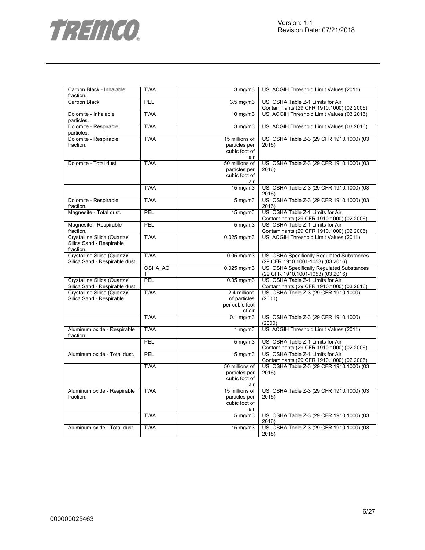



| Carbon Black - Inhalable<br>fraction.                                 | <b>TWA</b>   | $3$ mg/m $3$                                             | US. ACGIH Threshold Limit Values (2011)                                         |
|-----------------------------------------------------------------------|--------------|----------------------------------------------------------|---------------------------------------------------------------------------------|
| Carbon Black                                                          | PEL          | $3.5$ mg/m $3$                                           | US. OSHA Table Z-1 Limits for Air<br>Contaminants (29 CFR 1910.1000) (02 2006)  |
| Dolomite - Inhalable<br>particles.                                    | <b>TWA</b>   | 10 mg/m3                                                 | US. ACGIH Threshold Limit Values (03 2016)                                      |
| Dolomite - Respirable<br>particles.                                   | <b>TWA</b>   | 3 mg/m3                                                  | US. ACGIH Threshold Limit Values (03 2016)                                      |
| Dolomite - Respirable                                                 | <b>TWA</b>   | 15 millions of                                           | US. OSHA Table Z-3 (29 CFR 1910.1000) (03                                       |
| fraction.                                                             |              | particles per<br>cubic foot of<br>air                    | 2016                                                                            |
| Dolomite - Total dust.                                                | <b>TWA</b>   | 50 millions of<br>particles per<br>cubic foot of<br>air  | US. OSHA Table Z-3 (29 CFR 1910.1000) (03<br>2016)                              |
|                                                                       | <b>TWA</b>   | 15 mg/m3                                                 | US. OSHA Table Z-3 (29 CFR 1910.1000) (03<br>2016)                              |
| Dolomite - Respirable<br>fraction.                                    | <b>TWA</b>   | $5$ mg/m $3$                                             | US. OSHA Table Z-3 (29 CFR 1910.1000) (03<br>2016)                              |
| Magnesite - Total dust.                                               | PEL          | $15 \overline{\text{mg}}$ m3                             | US. OSHA Table Z-1 Limits for Air<br>Contaminants (29 CFR 1910.1000) (02 2006)  |
| Magnesite - Respirable<br>fraction.                                   | PEL          | $5$ mg/m $3$                                             | US. OSHA Table Z-1 Limits for Air<br>Contaminants (29 CFR 1910.1000) (02 2006)  |
| Crystalline Silica (Quartz)/<br>Silica Sand - Respirable<br>fraction. | <b>TWA</b>   | $0.025$ mg/m $3$                                         | US. ACGIH Threshold Limit Values (2011)                                         |
| Crystalline Silica (Quartz)/<br>Silica Sand - Respirable dust.        | <b>TWA</b>   | $0.05$ mg/m $3$                                          | US. OSHA Specifically Regulated Substances<br>(29 CFR 1910.1001-1053) (03 2016) |
|                                                                       | OSHA AC<br>т | $0.025$ mg/m $3$                                         | US. OSHA Specifically Regulated Substances<br>(29 CFR 1910.1001-1053) (03 2016) |
| Crystalline Silica (Quartz)/<br>Silica Sand - Respirable dust.        | <b>PEL</b>   | $0.05$ mg/m $3$                                          | US. OSHA Table Z-1 Limits for Air<br>Contaminants (29 CFR 1910.1000) (03 2016)  |
| Crystalline Silica (Quartz)/<br>Silica Sand - Respirable.             | <b>TWA</b>   | 2.4 millions<br>of particles<br>per cubic foot<br>of air | US. OSHA Table Z-3 (29 CFR 1910.1000)<br>(2000)                                 |
|                                                                       | <b>TWA</b>   | $0.1 \text{ mg/m}$                                       | US. OSHA Table Z-3 (29 CFR 1910.1000)<br>(2000)                                 |
| Aluminum oxide - Respirable<br>fraction.                              | <b>TWA</b>   | 1 $mg/m3$                                                | US. ACGIH Threshold Limit Values (2011)                                         |
|                                                                       | PEL          | $5$ mg/m $3$                                             | US. OSHA Table Z-1 Limits for Air<br>Contaminants (29 CFR 1910.1000) (02 2006)  |
| Aluminum oxide - Total dust.                                          | PEL          | 15 mg/m3                                                 | US. OSHA Table Z-1 Limits for Air<br>Contaminants (29 CFR 1910.1000) (02 2006)  |
|                                                                       | <b>TWA</b>   | 50 millions of<br>particles per<br>cubic foot of<br>air  | US. OSHA Table Z-3 (29 CFR 1910.1000) (03<br>2016)                              |
| Aluminum oxide - Respirable<br>fraction.                              | <b>TWA</b>   | 15 millions of<br>particles per<br>cubic foot of<br>air  | US. OSHA Table Z-3 (29 CFR 1910.1000) (03<br>2016)                              |
|                                                                       | <b>TWA</b>   | $5$ mg/m $3$                                             | US. OSHA Table Z-3 (29 CFR 1910.1000) (03<br>2016)                              |
| Aluminum oxide - Total dust.                                          | <b>TWA</b>   | $15$ mg/m $3$                                            | US. OSHA Table Z-3 (29 CFR 1910.1000) (03<br>2016)                              |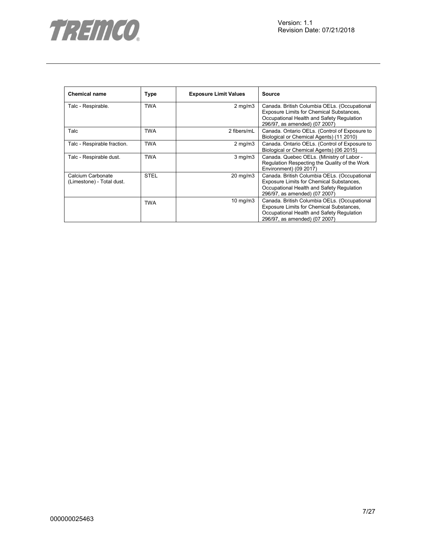

| <b>Chemical name</b>                           | Type        | <b>Exposure Limit Values</b> | Source                                                                                                                                                                 |
|------------------------------------------------|-------------|------------------------------|------------------------------------------------------------------------------------------------------------------------------------------------------------------------|
| Talc - Respirable.                             | <b>TWA</b>  | $2$ mg/m $3$                 | Canada. British Columbia OELs. (Occupational<br>Exposure Limits for Chemical Substances,<br>Occupational Health and Safety Regulation<br>296/97, as amended) (07 2007) |
| Talc                                           | TWA         | 2 fibers/mL                  | Canada. Ontario OELs. (Control of Exposure to<br>Biological or Chemical Agents) (11 2010)                                                                              |
| Talc - Respirable fraction.                    | <b>TWA</b>  | $2 \text{ mg/m}$             | Canada. Ontario OELs. (Control of Exposure to<br>Biological or Chemical Agents) (06 2015)                                                                              |
| Talc - Respirable dust.                        | <b>TWA</b>  | $3$ mg/m $3$                 | Canada. Quebec OELs. (Ministry of Labor -<br>Regulation Respecting the Quality of the Work<br>Environment) (09 2017)                                                   |
| Calcium Carbonate<br>(Limestone) - Total dust. | <b>STEL</b> | $20 \text{ mg/m}$ 3          | Canada. British Columbia OELs. (Occupational<br>Exposure Limits for Chemical Substances,<br>Occupational Health and Safety Regulation<br>296/97, as amended) (07 2007) |
|                                                | <b>TWA</b>  | 10 mg/m $3$                  | Canada. British Columbia OELs. (Occupational<br>Exposure Limits for Chemical Substances,<br>Occupational Health and Safety Regulation<br>296/97, as amended) (07 2007) |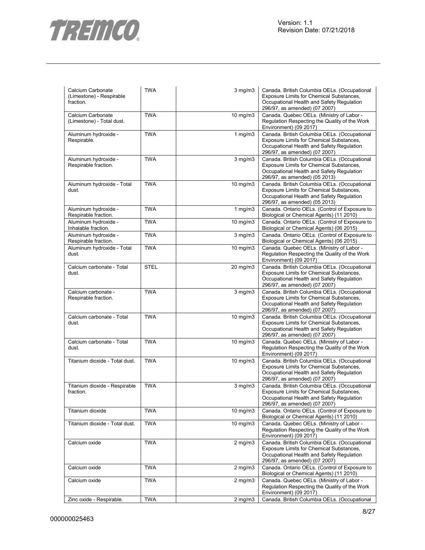

| Calcium Carbonate<br>(Limestone) - Respirable<br>fraction. | <b>TWA</b>  | $3$ mg/m $3$      | Canada. British Columbia OELs. (Occupational<br>Exposure Limits for Chemical Substances,<br>Occupational Health and Safety Regulation<br>296/97, as amended) (07 2007) |
|------------------------------------------------------------|-------------|-------------------|------------------------------------------------------------------------------------------------------------------------------------------------------------------------|
| Calcium Carbonate<br>(Limestone) - Total dust.             | <b>TWA</b>  | 10 mg/m3          | Canada. Quebec OELs. (Ministry of Labor -<br>Regulation Respecting the Quality of the Work<br>Environment) (09 2017)                                                   |
| Aluminum hydroxide -<br>Respirable.                        | <b>TWA</b>  | 1 $mg/m3$         | Canada. British Columbia OELs. (Occupational<br>Exposure Limits for Chemical Substances,<br>Occupational Health and Safety Regulation<br>296/97, as amended) (07 2007) |
| Aluminum hydroxide -<br>Respirable fraction.               | <b>TWA</b>  | $3$ mg/m $3$      | Canada. British Columbia OELs. (Occupational<br>Exposure Limits for Chemical Substances,<br>Occupational Health and Safety Regulation<br>296/97, as amended) (05 2013) |
| Aluminum hydroxide - Total<br>dust.                        | <b>TWA</b>  | 10 mg/m3          | Canada. British Columbia OELs. (Occupational<br>Exposure Limits for Chemical Substances,<br>Occupational Health and Safety Regulation<br>296/97, as amended) (05 2013) |
| Aluminum hydroxide -<br>Respirable fraction.               | <b>TWA</b>  | 1 $mg/m3$         | Canada. Ontario OELs. (Control of Exposure to<br>Biological or Chemical Agents) (11 2010)                                                                              |
| Aluminum hydroxide -<br>Inhalable fraction.                | <b>TWA</b>  | $10 \text{ mg/m}$ | Canada. Ontario OELs. (Control of Exposure to<br>Biological or Chemical Agents) (06 2015)                                                                              |
| Aluminum hydroxide -<br>Respirable fraction.               | <b>TWA</b>  | $3$ mg/m $3$      | Canada. Ontario OELs. (Control of Exposure to<br>Biological or Chemical Agents) (06 2015)                                                                              |
| Aluminum hydroxide - Total<br>dust.                        | <b>TWA</b>  | $10 \text{ mg/m}$ | Canada. Quebec OELs. (Ministry of Labor -<br>Regulation Respecting the Quality of the Work<br>Environment) (09 2017)                                                   |
| Calcium carbonate - Total<br>dust.                         | <b>STEL</b> | 20 mg/m3          | Canada. British Columbia OELs. (Occupational<br>Exposure Limits for Chemical Substances,<br>Occupational Health and Safety Regulation<br>296/97, as amended) (07 2007) |
| Calcium carbonate -<br>Respirable fraction.                | <b>TWA</b>  | $3$ mg/m $3$      | Canada. British Columbia OELs. (Occupational<br>Exposure Limits for Chemical Substances,<br>Occupational Health and Safety Regulation<br>296/97, as amended) (07 2007) |
| Calcium carbonate - Total<br>dust.                         | <b>TWA</b>  | $10$ mg/m $3$     | Canada. British Columbia OELs. (Occupational<br>Exposure Limits for Chemical Substances,<br>Occupational Health and Safety Regulation<br>296/97, as amended) (07 2007) |
| Calcium carbonate - Total<br>dust.                         | <b>TWA</b>  | $10 \text{ mg/m}$ | Canada. Quebec OELs. (Ministry of Labor -<br>Regulation Respecting the Quality of the Work<br>Environment) (09 2017)                                                   |
| Titanium dioxide - Total dust.                             | <b>TWA</b>  | 10 mg/m3          | Canada. British Columbia OELs. (Occupational<br>Exposure Limits for Chemical Substances,<br>Occupational Health and Safety Regulation<br>296/97, as amended) (07 2007) |
| Titanium dioxide - Respirable<br>fraction.                 | <b>TWA</b>  | $3$ mg/m $3$      | Canada. British Columbia OELs. (Occupational<br>Exposure Limits for Chemical Substances,<br>Occupational Health and Safety Regulation<br>296/97, as amended) (07 2007) |
| Titanium dioxide                                           | <b>TWA</b>  | 10 mg/m3          | Canada. Ontario OELs. (Control of Exposure to<br>Biological or Chemical Agents) (11 2010)                                                                              |
| Titanium dioxide - Total dust.                             | <b>TWA</b>  | 10 mg/m3          | Canada. Quebec OELs. (Ministry of Labor -<br>Regulation Respecting the Quality of the Work<br>Environment) (09 2017)                                                   |
| Calcium oxide                                              | <b>TWA</b>  | $2$ mg/m $3$      | Canada. British Columbia OELs. (Occupational<br>Exposure Limits for Chemical Substances,<br>Occupational Health and Safety Regulation<br>296/97, as amended) (07 2007) |
| Calcium oxide                                              | <b>TWA</b>  | $2$ mg/m $3$      | Canada. Ontario OELs. (Control of Exposure to<br>Biological or Chemical Agents) (11 2010)                                                                              |
| Calcium oxide                                              | <b>TWA</b>  | $2$ mg/m $3$      | Canada. Quebec OELs. (Ministry of Labor -<br>Regulation Respecting the Quality of the Work<br>Environment) (09 2017)                                                   |
| Zinc oxide - Respirable.                                   | <b>TWA</b>  | $2$ mg/m $3$      | Canada. British Columbia OELs. (Occupational                                                                                                                           |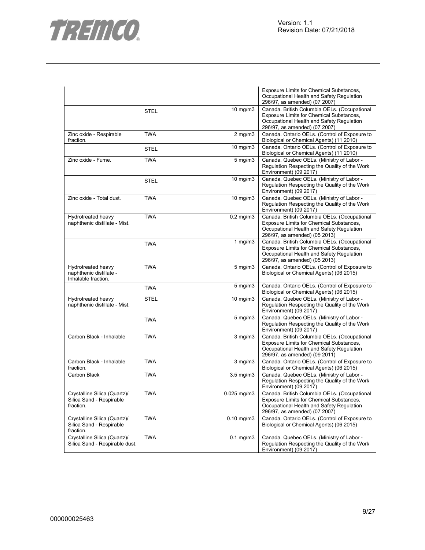

|                                                                       |             |                  | Exposure Limits for Chemical Substances,<br>Occupational Health and Safety Regulation<br>296/97, as amended) (07 2007)                                                        |
|-----------------------------------------------------------------------|-------------|------------------|-------------------------------------------------------------------------------------------------------------------------------------------------------------------------------|
|                                                                       | <b>STEL</b> | $10$ mg/m $3$    | Canada. British Columbia OELs. (Occupational<br>Exposure Limits for Chemical Substances,<br>Occupational Health and Safety Regulation<br>296/97, as amended) (07 2007)        |
| Zinc oxide - Respirable<br>fraction.                                  | <b>TWA</b>  | $2$ mg/m $3$     | Canada. Ontario OELs. (Control of Exposure to<br>Biological or Chemical Agents) (11 2010)                                                                                     |
|                                                                       | <b>STEL</b> | $10$ mg/m $3$    | Canada. Ontario OELs. (Control of Exposure to<br>Biological or Chemical Agents) (11 2010)                                                                                     |
| Zinc oxide - Fume.                                                    | <b>TWA</b>  | $5$ mg/m $3$     | Canada. Quebec OELs. (Ministry of Labor -<br>Regulation Respecting the Quality of the Work<br>Environment) (09 2017)                                                          |
|                                                                       | <b>STEL</b> | 10 mg/m3         | Canada. Quebec OELs. (Ministry of Labor -<br>Regulation Respecting the Quality of the Work<br>Environment) (09 2017)                                                          |
| Zinc oxide - Total dust.                                              | <b>TWA</b>  | 10 mg/m3         | Canada. Quebec OELs. (Ministry of Labor -<br>Regulation Respecting the Quality of the Work<br>Environment) (09 2017)                                                          |
| Hydrotreated heavy<br>naphthenic distillate - Mist.                   | <b>TWA</b>  | $0.2$ mg/m $3$   | Canada. British Columbia OELs. (Occupational<br>Exposure Limits for Chemical Substances,<br>Occupational Health and Safety Regulation<br>296/97, as amended) (05 2013)        |
|                                                                       | <b>TWA</b>  | 1 $mg/m3$        | Canada. British Columbia OELs. (Occupational<br>Exposure Limits for Chemical Substances,<br>Occupational Health and Safety Regulation<br>296/97, as amended) (05 2013)        |
| Hydrotreated heavy<br>naphthenic distillate -<br>Inhalable fraction.  | <b>TWA</b>  | $5$ mg/m $3$     | Canada. Ontario OELs. (Control of Exposure to<br>Biological or Chemical Agents) (06 2015)                                                                                     |
|                                                                       | <b>TWA</b>  | 5 mg/m3          | Canada. Ontario OELs. (Control of Exposure to<br>Biological or Chemical Agents) (06 2015)                                                                                     |
| Hydrotreated heavy<br>naphthenic distillate - Mist.                   | <b>STEL</b> | 10 mg/m3         | Canada. Quebec OELs. (Ministry of Labor -<br>Regulation Respecting the Quality of the Work<br>Environment) (09 2017)                                                          |
|                                                                       | <b>TWA</b>  | $5$ mg/m $3$     | Canada. Quebec OELs. (Ministry of Labor -<br>Regulation Respecting the Quality of the Work<br>Environment) (09 2017)                                                          |
| Carbon Black - Inhalable                                              | <b>TWA</b>  | $3$ mg/m $3$     | Canada. British Columbia OELs. (Occupational<br>Exposure Limits for Chemical Substances,<br>Occupational Health and Safety Regulation<br>296/97, as amended) (09 2011)        |
| Carbon Black - Inhalable<br>fraction.                                 | <b>TWA</b>  | $3$ mg/m $3$     | Canada. Ontario OELs. (Control of Exposure to<br>Biological or Chemical Agents) (06 2015)                                                                                     |
| Carbon Black                                                          | <b>TWA</b>  | $3.5$ mg/m $3$   | Canada. Quebec OELs. (Ministry of Labor -<br>Regulation Respecting the Quality of the Work<br>Environment) (09 2017)                                                          |
| Crystalline Silica (Quartz)/<br>Silica Sand - Respirable<br>fraction. | <b>TWA</b>  | $0.025$ mg/m $3$ | Canada. British Columbia OELs. (Occupational<br><b>Exposure Limits for Chemical Substances,</b><br>Occupational Health and Safety Regulation<br>296/97, as amended) (07 2007) |
| Crystalline Silica (Quartz)/<br>Silica Sand - Respirable<br>fraction. | <b>TWA</b>  | $0.10$ mg/m $3$  | Canada. Ontario OELs. (Control of Exposure to<br>Biological or Chemical Agents) (06 2015)                                                                                     |
| Crystalline Silica (Quartz)/<br>Silica Sand - Respirable dust.        | <b>TWA</b>  | $0.1$ mg/m $3$   | Canada. Quebec OELs. (Ministry of Labor -<br>Regulation Respecting the Quality of the Work<br>Environment) (09 2017)                                                          |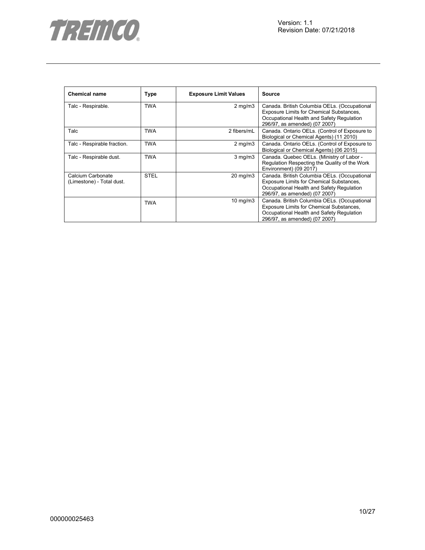

| <b>Chemical name</b>                           | <b>Type</b> | <b>Exposure Limit Values</b> | <b>Source</b>                                                                                                                                                          |
|------------------------------------------------|-------------|------------------------------|------------------------------------------------------------------------------------------------------------------------------------------------------------------------|
| Talc - Respirable.                             | <b>TWA</b>  | $2 \text{ mg/m}$             | Canada. British Columbia OELs. (Occupational<br>Exposure Limits for Chemical Substances,<br>Occupational Health and Safety Regulation<br>296/97, as amended) (07 2007) |
| Talc                                           | TWA         | 2 fibers/mL                  | Canada. Ontario OELs. (Control of Exposure to<br>Biological or Chemical Agents) (11 2010)                                                                              |
| Talc - Respirable fraction.                    | <b>TWA</b>  | $2$ mg/m $3$                 | Canada. Ontario OELs. (Control of Exposure to<br>Biological or Chemical Agents) (06 2015)                                                                              |
| Talc - Respirable dust.                        | TWA         | $3$ mg/m $3$                 | Canada. Quebec OELs. (Ministry of Labor -<br>Regulation Respecting the Quality of the Work<br>Environment) (09 2017)                                                   |
| Calcium Carbonate<br>(Limestone) - Total dust. | <b>STEL</b> | 20 mg/m3                     | Canada. British Columbia OELs. (Occupational<br>Exposure Limits for Chemical Substances,<br>Occupational Health and Safety Regulation<br>296/97, as amended) (07 2007) |
|                                                | <b>TWA</b>  | $10 \text{ mg/m}$            | Canada. British Columbia OELs. (Occupational<br>Exposure Limits for Chemical Substances,<br>Occupational Health and Safety Regulation<br>296/97, as amended) (07 2007) |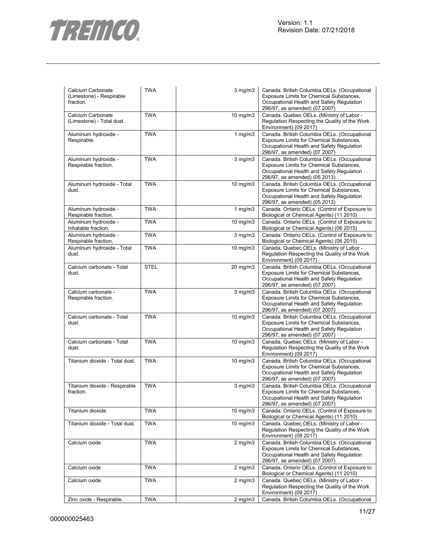

| Calcium Carbonate<br>(Limestone) - Respirable<br>fraction. | <b>TWA</b>  | $3$ mg/m $3$      | Canada. British Columbia OELs. (Occupational<br>Exposure Limits for Chemical Substances,<br>Occupational Health and Safety Regulation<br>296/97, as amended) (07 2007)        |
|------------------------------------------------------------|-------------|-------------------|-------------------------------------------------------------------------------------------------------------------------------------------------------------------------------|
| Calcium Carbonate<br>(Limestone) - Total dust.             | <b>TWA</b>  | 10 mg/m3          | Canada. Quebec OELs. (Ministry of Labor -<br>Regulation Respecting the Quality of the Work<br>Environment) (09 2017)                                                          |
| Aluminum hydroxide -<br>Respirable.                        | <b>TWA</b>  | $1$ mg/m $3$      | Canada. British Columbia OELs. (Occupational<br>Exposure Limits for Chemical Substances,<br>Occupational Health and Safety Regulation<br>296/97, as amended) (07 2007)        |
| Aluminum hydroxide -<br>Respirable fraction.               | <b>TWA</b>  | $3$ mg/m $3$      | Canada. British Columbia OELs. (Occupational<br>Exposure Limits for Chemical Substances,<br>Occupational Health and Safety Regulation<br>296/97, as amended) (05 2013)        |
| Aluminum hydroxide - Total<br>dust.                        | <b>TWA</b>  | 10 mg/m3          | Canada. British Columbia OELs. (Occupational<br>Exposure Limits for Chemical Substances,<br>Occupational Health and Safety Regulation<br>296/97, as amended) (05 2013)        |
| Aluminum hydroxide -<br>Respirable fraction.               | <b>TWA</b>  | 1 $mg/m3$         | Canada. Ontario OELs. (Control of Exposure to<br>Biological or Chemical Agents) (11 2010)                                                                                     |
| Aluminum hydroxide -<br>Inhalable fraction.                | <b>TWA</b>  | 10 mg/m3          | Canada. Ontario OELs. (Control of Exposure to<br>Biological or Chemical Agents) (06 2015)                                                                                     |
| Aluminum hydroxide -<br>Respirable fraction.               | <b>TWA</b>  | $3$ mg/m $3$      | Canada. Ontario OELs. (Control of Exposure to<br>Biological or Chemical Agents) (06 2015)                                                                                     |
| Aluminum hydroxide - Total<br>dust.                        | <b>TWA</b>  | 10 mg/m3          | Canada. Quebec OELs. (Ministry of Labor -<br>Regulation Respecting the Quality of the Work<br>Environment) (09 2017)                                                          |
| Calcium carbonate - Total<br>dust.                         | <b>STEL</b> | 20 mg/m3          | Canada. British Columbia OELs. (Occupational<br><b>Exposure Limits for Chemical Substances,</b><br>Occupational Health and Safety Regulation<br>296/97, as amended) (07 2007) |
| Calcium carbonate -<br>Respirable fraction.                | <b>TWA</b>  | $3$ mg/m $3$      | Canada. British Columbia OELs. (Occupational<br>Exposure Limits for Chemical Substances,<br>Occupational Health and Safety Regulation<br>296/97, as amended) (07 2007)        |
| Calcium carbonate - Total<br>dust.                         | <b>TWA</b>  | 10 mg/m3          | Canada. British Columbia OELs. (Occupational<br>Exposure Limits for Chemical Substances,<br>Occupational Health and Safety Regulation<br>296/97, as amended) (07 2007)        |
| Calcium carbonate - Total<br>dust.                         | <b>TWA</b>  | $10 \text{ mg/m}$ | Canada. Quebec OELs. (Ministry of Labor -<br>Regulation Respecting the Quality of the Work<br>Environment) (09 2017)                                                          |
| Titanium dioxide - Total dust.                             | <b>TWA</b>  | 10 mg/m3          | Canada. British Columbia OELs. (Occupational<br>Exposure Limits for Chemical Substances,<br>Occupational Health and Safety Regulation<br>296/97, as amended) (07 2007)        |
| Titanium dioxide - Respirable<br>fraction.                 | <b>TWA</b>  | $3$ mg/m $3$      | Canada. British Columbia OELs. (Occupational<br><b>Exposure Limits for Chemical Substances,</b><br>Occupational Health and Safety Regulation<br>296/97, as amended) (07 2007) |
| Titanium dioxide                                           | <b>TWA</b>  | $10 \text{ mg/m}$ | Canada. Ontario OELs. (Control of Exposure to<br>Biological or Chemical Agents) (11 2010)                                                                                     |
| Titanium dioxide - Total dust.                             | <b>TWA</b>  | $10$ mg/m $3$     | Canada. Quebec OELs. (Ministry of Labor -<br>Regulation Respecting the Quality of the Work<br>Environment) (09 2017)                                                          |
| Calcium oxide                                              | <b>TWA</b>  | $2$ mg/m $3$      | Canada. British Columbia OELs. (Occupational<br><b>Exposure Limits for Chemical Substances,</b><br>Occupational Health and Safety Regulation<br>296/97, as amended) (07 2007) |
| Calcium oxide                                              | <b>TWA</b>  | $2$ mg/m $3$      | Canada. Ontario OELs. (Control of Exposure to<br>Biological or Chemical Agents) (11 2010)                                                                                     |
| Calcium oxide                                              | <b>TWA</b>  | $2$ mg/m $3$      | Canada. Quebec OELs. (Ministry of Labor -<br>Regulation Respecting the Quality of the Work<br>Environment) (09 2017)                                                          |
| Zinc oxide - Respirable.                                   | <b>TWA</b>  | $2$ mg/m $3$      | Canada. British Columbia OELs. (Occupational                                                                                                                                  |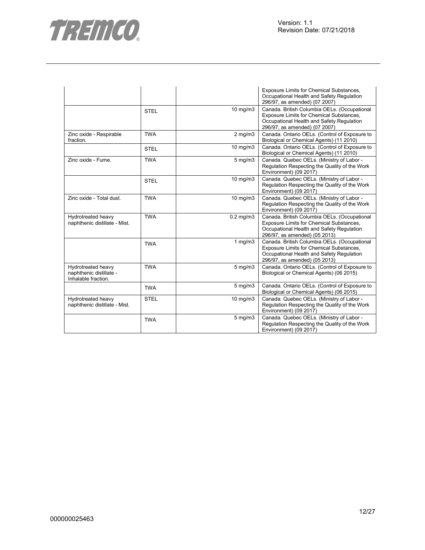

|                                                                      |             |                | <b>Exposure Limits for Chemical Substances,</b><br>Occupational Health and Safety Regulation<br>296/97, as amended) (07 2007)                                          |
|----------------------------------------------------------------------|-------------|----------------|------------------------------------------------------------------------------------------------------------------------------------------------------------------------|
|                                                                      | <b>STEL</b> | 10 mg/m3       | Canada. British Columbia OELs. (Occupational<br>Exposure Limits for Chemical Substances,<br>Occupational Health and Safety Regulation<br>296/97, as amended) (07 2007) |
| Zinc oxide - Respirable<br>fraction.                                 | <b>TWA</b>  | $2$ mg/m $3$   | Canada. Ontario OELs. (Control of Exposure to<br>Biological or Chemical Agents) (11 2010)                                                                              |
|                                                                      | <b>STEL</b> | 10 mg/m3       | Canada. Ontario OELs. (Control of Exposure to<br>Biological or Chemical Agents) (11 2010)                                                                              |
| Zinc oxide - Fume.                                                   | <b>TWA</b>  | $5$ mg/m $3$   | Canada. Quebec OELs. (Ministry of Labor -<br>Regulation Respecting the Quality of the Work<br>Environment) (09 2017)                                                   |
|                                                                      | <b>STEL</b> | 10 mg/m3       | Canada. Quebec OELs. (Ministry of Labor -<br>Regulation Respecting the Quality of the Work<br>Environment) (09 2017)                                                   |
| Zinc oxide - Total dust.                                             | <b>TWA</b>  | 10 mg/m3       | Canada. Quebec OELs. (Ministry of Labor -<br>Regulation Respecting the Quality of the Work<br>Environment) (09 2017)                                                   |
| Hydrotreated heavy<br>naphthenic distillate - Mist.                  | <b>TWA</b>  | $0.2$ mg/m $3$ | Canada. British Columbia OELs. (Occupational<br>Exposure Limits for Chemical Substances,<br>Occupational Health and Safety Regulation<br>296/97, as amended) (05 2013) |
|                                                                      | <b>TWA</b>  | 1 $mg/m3$      | Canada. British Columbia OELs. (Occupational<br>Exposure Limits for Chemical Substances,<br>Occupational Health and Safety Regulation<br>296/97, as amended) (05 2013) |
| Hydrotreated heavy<br>naphthenic distillate -<br>Inhalable fraction. | <b>TWA</b>  | $5$ mg/m $3$   | Canada. Ontario OELs. (Control of Exposure to<br>Biological or Chemical Agents) (06 2015)                                                                              |
|                                                                      | <b>TWA</b>  | 5 mg/m3        | Canada. Ontario OELs. (Control of Exposure to<br>Biological or Chemical Agents) (06 2015)                                                                              |
| Hydrotreated heavy<br>naphthenic distillate - Mist.                  | <b>STEL</b> | 10 mg/m3       | Canada. Quebec OELs. (Ministry of Labor -<br>Regulation Respecting the Quality of the Work<br>Environment) (09 2017)                                                   |
|                                                                      | <b>TWA</b>  | $5$ mg/m $3$   | Canada. Quebec OELs. (Ministry of Labor -<br>Regulation Respecting the Quality of the Work<br>Environment) (09 2017)                                                   |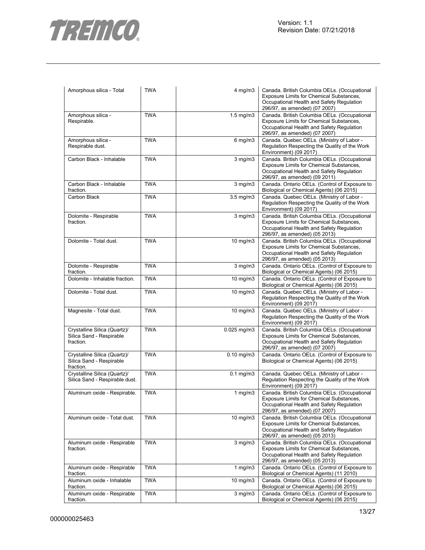

| Amorphous silica - Total                                              | <b>TWA</b> | $4$ mg/m $3$         | Canada. British Columbia OELs. (Occupational<br>Exposure Limits for Chemical Substances,<br>Occupational Health and Safety Regulation<br>296/97, as amended) (07 2007) |
|-----------------------------------------------------------------------|------------|----------------------|------------------------------------------------------------------------------------------------------------------------------------------------------------------------|
| Amorphous silica -<br>Respirable.                                     | <b>TWA</b> | $1.5 \text{ mg/m}$ 3 | Canada. British Columbia OELs. (Occupational<br>Exposure Limits for Chemical Substances,<br>Occupational Health and Safety Regulation<br>296/97, as amended) (07 2007) |
| Amorphous silica -<br>Respirable dust.                                | <b>TWA</b> | $6$ mg/m $3$         | Canada. Quebec OELs. (Ministry of Labor -<br>Regulation Respecting the Quality of the Work<br>Environment) (09 2017)                                                   |
| Carbon Black - Inhalable                                              | <b>TWA</b> | $3$ mg/m $3$         | Canada. British Columbia OELs. (Occupational<br>Exposure Limits for Chemical Substances,<br>Occupational Health and Safety Regulation<br>296/97, as amended) (09 2011) |
| Carbon Black - Inhalable<br>fraction.                                 | <b>TWA</b> | $3$ mg/m $3$         | Canada. Ontario OELs. (Control of Exposure to<br>Biological or Chemical Agents) (06 2015)                                                                              |
| Carbon Black                                                          | <b>TWA</b> | $3.5$ mg/m $3$       | Canada. Quebec OELs. (Ministry of Labor -<br>Regulation Respecting the Quality of the Work<br>Environment) (09 2017)                                                   |
| Dolomite - Respirable<br>fraction.                                    | <b>TWA</b> | $3$ mg/m $3$         | Canada. British Columbia OELs. (Occupational<br>Exposure Limits for Chemical Substances,<br>Occupational Health and Safety Regulation<br>296/97, as amended) (05 2013) |
| Dolomite - Total dust.                                                | <b>TWA</b> | 10 mg/m3             | Canada. British Columbia OELs. (Occupational<br>Exposure Limits for Chemical Substances,<br>Occupational Health and Safety Regulation<br>296/97, as amended) (05 2013) |
| Dolomite - Respirable<br>fraction.                                    | <b>TWA</b> | $3$ mg/m $3$         | Canada. Ontario OELs. (Control of Exposure to<br>Biological or Chemical Agents) (06 2015)                                                                              |
| Dolomite - Inhalable fraction.                                        | <b>TWA</b> | $10$ mg/m $3$        | Canada. Ontario OELs. (Control of Exposure to<br>Biological or Chemical Agents) (06 2015)                                                                              |
| Dolomite - Total dust.                                                | <b>TWA</b> | 10 mg/m3             | Canada. Quebec OELs. (Ministry of Labor -<br>Regulation Respecting the Quality of the Work<br>Environment) (09 2017)                                                   |
| Magnesite - Total dust.                                               | <b>TWA</b> | 10 mg/m3             | Canada. Quebec OELs. (Ministry of Labor -<br>Regulation Respecting the Quality of the Work<br>Environment) (09 2017)                                                   |
| Crystalline Silica (Quartz)/<br>Silica Sand - Respirable<br>fraction. | <b>TWA</b> | $0.025$ mg/m3        | Canada. British Columbia OELs. (Occupational<br>Exposure Limits for Chemical Substances,<br>Occupational Health and Safety Regulation<br>296/97, as amended) (07 2007) |
| Crystalline Silica (Quartz)/<br>Silica Sand - Respirable<br>fraction. | <b>TWA</b> | $0.10$ mg/m $3$      | Canada. Ontario OELs. (Control of Exposure to<br>Biological or Chemical Agents) (06 2015)                                                                              |
| Crystalline Silica (Quartz)/<br>Silica Sand - Respirable dust.        | <b>TWA</b> | $0.1$ mg/m $3$       | Canada. Quebec OELs. (Ministry of Labor -<br>Regulation Respecting the Quality of the Work<br>Environment) (09 2017)                                                   |
| Aluminum oxide - Respirable.                                          | <b>TWA</b> | 1 $mg/m3$            | Canada. British Columbia OELs. (Occupational<br>Exposure Limits for Chemical Substances,<br>Occupational Health and Safety Regulation<br>296/97, as amended) (07 2007) |
| Aluminum oxide - Total dust.                                          | <b>TWA</b> | 10 mg/m3             | Canada, British Columbia OELs. (Occupational<br>Exposure Limits for Chemical Substances,<br>Occupational Health and Safety Regulation<br>296/97, as amended) (05 2013) |
| Aluminum oxide - Respirable<br>fraction.                              | <b>TWA</b> | $3$ mg/m $3$         | Canada. British Columbia OELs. (Occupational<br>Exposure Limits for Chemical Substances,<br>Occupational Health and Safety Regulation<br>296/97, as amended) (05 2013) |
| Aluminum oxide - Respirable<br>fraction.                              | <b>TWA</b> | 1 mg/m $3$           | Canada. Ontario OELs. (Control of Exposure to<br>Biological or Chemical Agents) (11 2010)                                                                              |
| Aluminum oxide - Inhalable<br>fraction.                               | <b>TWA</b> | 10 mg/m3             | Canada. Ontario OELs. (Control of Exposure to<br>Biological or Chemical Agents) (06 2015)                                                                              |
| Aluminum oxide - Respirable<br>fraction.                              | <b>TWA</b> | $3$ mg/m $3$         | Canada. Ontario OELs. (Control of Exposure to<br>Biological or Chemical Agents) (06 2015)                                                                              |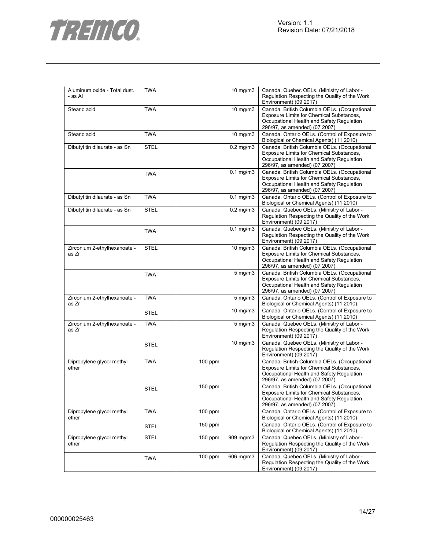

| Aluminum oxide - Total dust.<br>- as Al | <b>TWA</b>  |           | 10 mg/m3          | Canada. Quebec OELs. (Ministry of Labor -<br>Regulation Respecting the Quality of the Work<br>Environment) (09 2017)                                                          |
|-----------------------------------------|-------------|-----------|-------------------|-------------------------------------------------------------------------------------------------------------------------------------------------------------------------------|
| Stearic acid                            | <b>TWA</b>  |           | 10 mg/m3          | Canada. British Columbia OELs. (Occupational<br>Exposure Limits for Chemical Substances,<br>Occupational Health and Safety Regulation<br>296/97, as amended) (07 2007)        |
| Stearic acid                            | <b>TWA</b>  |           | $10$ mg/m $3$     | Canada. Ontario OELs. (Control of Exposure to<br>Biological or Chemical Agents) (11 2010)                                                                                     |
| Dibutyl tin dilaurate - as Sn           | <b>STEL</b> |           | $0.2$ mg/m $3$    | Canada. British Columbia OELs. (Occupational<br>Exposure Limits for Chemical Substances,<br>Occupational Health and Safety Regulation<br>296/97, as amended) (07 2007)        |
|                                         | <b>TWA</b>  |           | $0.1$ mg/m $3$    | Canada. British Columbia OELs. (Occupational<br>Exposure Limits for Chemical Substances,<br>Occupational Health and Safety Regulation<br>296/97, as amended) (07 2007)        |
| Dibutyl tin dilaurate - as Sn           | <b>TWA</b>  |           | $0.1$ mg/m $3$    | Canada. Ontario OELs. (Control of Exposure to<br>Biological or Chemical Agents) (11 2010)                                                                                     |
| Dibutyl tin dilaurate - as Sn           | <b>STEL</b> |           | $0.2$ mg/m $3$    | Canada. Quebec OELs. (Ministry of Labor -<br>Regulation Respecting the Quality of the Work<br>Environment) (09 2017)                                                          |
|                                         | <b>TWA</b>  |           | $0.1$ mg/m $3$    | Canada. Quebec OELs. (Ministry of Labor -<br>Regulation Respecting the Quality of the Work<br>Environment) (09 2017)                                                          |
| Zirconium 2-ethylhexanoate -<br>as Zr   | <b>STEL</b> |           | 10 mg/m3          | Canada. British Columbia OELs. (Occupational<br>Exposure Limits for Chemical Substances,<br>Occupational Health and Safety Regulation<br>296/97, as amended) (07 2007)        |
|                                         | <b>TWA</b>  |           | $5$ mg/m $3$      | Canada. British Columbia OELs. (Occupational<br>Exposure Limits for Chemical Substances,<br>Occupational Health and Safety Regulation<br>296/97, as amended) (07 2007)        |
| Zirconium 2-ethylhexanoate -<br>as Zr   | <b>TWA</b>  |           | $5$ mg/m $3$      | Canada. Ontario OELs. (Control of Exposure to<br>Biological or Chemical Agents) (11 2010)                                                                                     |
|                                         | <b>STEL</b> |           | $10 \text{ mg/m}$ | Canada. Ontario OELs. (Control of Exposure to<br>Biological or Chemical Agents) (11 2010)                                                                                     |
| Zirconium 2-ethylhexanoate -<br>as Zr   | <b>TWA</b>  |           | $5 \text{ mg/m}$  | Canada. Quebec OELs. (Ministry of Labor -<br>Regulation Respecting the Quality of the Work<br>Environment) (09 2017)                                                          |
|                                         | <b>STEL</b> |           | 10 mg/m3          | Canada. Quebec OELs. (Ministry of Labor -<br>Regulation Respecting the Quality of the Work<br>Environment) (09 2017)                                                          |
| Dipropylene glycol methyl<br>ether      | <b>TWA</b>  | $100$ ppm |                   | Canada. British Columbia OELs. (Occupational<br>Exposure Limits for Chemical Substances,<br>Occupational Health and Safety Regulation<br>296/97, as amended) (07 2007)        |
|                                         | <b>STEL</b> | 150 ppm   |                   | Canada. British Columbia OELs. (Occupational<br><b>Exposure Limits for Chemical Substances,</b><br>Occupational Health and Safety Regulation<br>296/97, as amended) (07 2007) |
| Dipropylene glycol methyl<br>ether      | <b>TWA</b>  | $100$ ppm |                   | Canada. Ontario OELs. (Control of Exposure to<br>Biological or Chemical Agents) (11 2010)                                                                                     |
|                                         | <b>STEL</b> | $150$ ppm |                   | Canada. Ontario OELs. (Control of Exposure to<br>Biological or Chemical Agents) (11 2010)                                                                                     |
| Dipropylene glycol methyl<br>ether      | <b>STEL</b> | $150$ ppm | 909 mg/m3         | Canada. Quebec OELs. (Ministry of Labor -<br>Regulation Respecting the Quality of the Work<br>Environment) (09 2017)                                                          |
|                                         | <b>TWA</b>  | $100$ ppm | 606 mg/m3         | Canada. Quebec OELs. (Ministry of Labor -<br>Regulation Respecting the Quality of the Work<br>Environment) (09 2017)                                                          |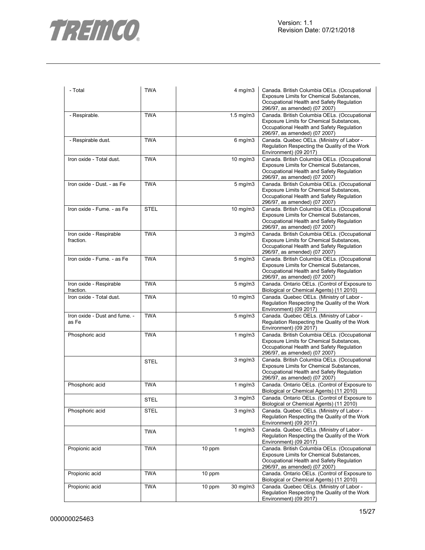

| - Total                                | <b>TWA</b>  | $4$ mg/m $3$       | Canada. British Columbia OELs. (Occupational<br>Exposure Limits for Chemical Substances,<br>Occupational Health and Safety Regulation<br>296/97, as amended) (07 2007) |
|----------------------------------------|-------------|--------------------|------------------------------------------------------------------------------------------------------------------------------------------------------------------------|
| - Respirable.                          | <b>TWA</b>  | $1.5 \text{ mg/m}$ | Canada. British Columbia OELs. (Occupational<br>Exposure Limits for Chemical Substances,<br>Occupational Health and Safety Regulation<br>296/97, as amended) (07 2007) |
| - Respirable dust.                     | <b>TWA</b>  | $6$ mg/m $3$       | Canada. Quebec OELs. (Ministry of Labor -<br>Regulation Respecting the Quality of the Work<br>Environment) (09 2017)                                                   |
| Iron oxide - Total dust.               | <b>TWA</b>  | 10 mg/m3           | Canada. British Columbia OELs. (Occupational<br>Exposure Limits for Chemical Substances,<br>Occupational Health and Safety Regulation<br>296/97, as amended) (07 2007) |
| Iron oxide - Dust. - as Fe             | <b>TWA</b>  | $5 \text{ mg/m}$ 3 | Canada. British Columbia OELs. (Occupational<br>Exposure Limits for Chemical Substances,<br>Occupational Health and Safety Regulation<br>296/97, as amended) (07 2007) |
| Iron oxide - Fume. - as Fe             | <b>STEL</b> | 10 mg/m3           | Canada. British Columbia OELs. (Occupational<br>Exposure Limits for Chemical Substances,<br>Occupational Health and Safety Regulation<br>296/97, as amended) (07 2007) |
| Iron oxide - Respirable<br>fraction.   | <b>TWA</b>  | $3$ mg/m $3$       | Canada. British Columbia OELs. (Occupational<br>Exposure Limits for Chemical Substances,<br>Occupational Health and Safety Regulation<br>296/97, as amended) (07 2007) |
| Iron oxide - Fume. - as Fe             | <b>TWA</b>  | $5 \text{ mg/m}$   | Canada. British Columbia OELs. (Occupational<br>Exposure Limits for Chemical Substances,<br>Occupational Health and Safety Regulation<br>296/97, as amended) (07 2007) |
| Iron oxide - Respirable<br>fraction.   | <b>TWA</b>  | $5 \text{ mg/m}$ 3 | Canada. Ontario OELs. (Control of Exposure to<br>Biological or Chemical Agents) (11 2010)                                                                              |
| Iron oxide - Total dust.               | <b>TWA</b>  | 10 mg/m3           | Canada. Quebec OELs. (Ministry of Labor -<br>Regulation Respecting the Quality of the Work<br>Environment) (09 2017)                                                   |
| Iron oxide - Dust and fume. -<br>as Fe | <b>TWA</b>  | $5 \text{ mg/m}$   | Canada. Quebec OELs. (Ministry of Labor -<br>Regulation Respecting the Quality of the Work<br>Environment) (09 2017)                                                   |
| Phosphoric acid                        | <b>TWA</b>  | 1 mg/m $3$         | Canada. British Columbia OELs. (Occupational<br>Exposure Limits for Chemical Substances,<br>Occupational Health and Safety Regulation<br>296/97, as amended) (07 2007) |
|                                        | <b>STEL</b> | $3$ mg/m $3$       | Canada. British Columbia OELs. (Occupational<br>Exposure Limits for Chemical Substances,<br>Occupational Health and Safety Regulation<br>296/97, as amended) (07 2007) |
| Phosphoric acid                        | <b>TWA</b>  | 1 $mg/m3$          | Canada. Ontario OELs. (Control of Exposure to<br>Biological or Chemical Agents) (11 2010)                                                                              |
|                                        | <b>STEL</b> | $3$ mg/m $3$       | Canada. Ontario OELs. (Control of Exposure to<br>Biological or Chemical Agents) (11 2010)                                                                              |
| Phosphoric acid                        | <b>STEL</b> | $3$ mg/m $3$       | Canada. Quebec OELs. (Ministry of Labor -<br>Regulation Respecting the Quality of the Work<br>Environment) (09 2017)                                                   |
|                                        | <b>TWA</b>  | $1$ mg/m $3$       | Canada. Quebec OELs. (Ministry of Labor -<br>Regulation Respecting the Quality of the Work<br>Environment) (09 2017)                                                   |
| Propionic acid                         | <b>TWA</b>  | 10 ppm             | Canada. British Columbia OELs. (Occupational<br>Exposure Limits for Chemical Substances,<br>Occupational Health and Safety Regulation<br>296/97, as amended) (07 2007) |
| Propionic acid                         | <b>TWA</b>  | 10 ppm             | Canada. Ontario OELs. (Control of Exposure to<br>Biological or Chemical Agents) (11 2010)                                                                              |
| Propionic acid                         | <b>TWA</b>  | 30 mg/m3<br>10 ppm | Canada. Quebec OELs. (Ministry of Labor -<br>Regulation Respecting the Quality of the Work<br>Environment) (09 2017)                                                   |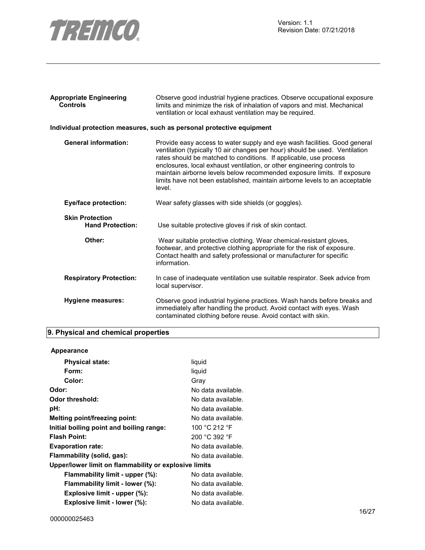

| <b>Appropriate Engineering</b><br><b>Controls</b> | Observe good industrial hygiene practices. Observe occupational exposure<br>limits and minimize the risk of inhalation of vapors and mist. Mechanical<br>ventilation or local exhaust ventilation may be required.                                                                                                                                                                                                                                                           |
|---------------------------------------------------|------------------------------------------------------------------------------------------------------------------------------------------------------------------------------------------------------------------------------------------------------------------------------------------------------------------------------------------------------------------------------------------------------------------------------------------------------------------------------|
|                                                   | Individual protection measures, such as personal protective equipment                                                                                                                                                                                                                                                                                                                                                                                                        |
| <b>General information:</b>                       | Provide easy access to water supply and eye wash facilities. Good general<br>ventilation (typically 10 air changes per hour) should be used. Ventilation<br>rates should be matched to conditions. If applicable, use process<br>enclosures, local exhaust ventilation, or other engineering controls to<br>maintain airborne levels below recommended exposure limits. If exposure<br>limits have not been established, maintain airborne levels to an acceptable<br>level. |
| <b>Eye/face protection:</b>                       | Wear safety glasses with side shields (or goggles).                                                                                                                                                                                                                                                                                                                                                                                                                          |
| <b>Skin Protection</b><br><b>Hand Protection:</b> | Use suitable protective gloves if risk of skin contact.                                                                                                                                                                                                                                                                                                                                                                                                                      |
| Other:                                            | Wear suitable protective clothing. Wear chemical-resistant gloves,<br>footwear, and protective clothing appropriate for the risk of exposure.<br>Contact health and safety professional or manufacturer for specific<br>information.                                                                                                                                                                                                                                         |
| <b>Respiratory Protection:</b>                    | In case of inadequate ventilation use suitable respirator. Seek advice from<br>local supervisor.                                                                                                                                                                                                                                                                                                                                                                             |
| Hygiene measures:                                 | Observe good industrial hygiene practices. Wash hands before breaks and<br>immediately after handling the product. Avoid contact with eyes. Wash<br>contaminated clothing before reuse. Avoid contact with skin.                                                                                                                                                                                                                                                             |

## **9. Physical and chemical properties**

## **Appearance**

| <b>Physical state:</b>                                | liquid             |
|-------------------------------------------------------|--------------------|
| Form:                                                 | liquid             |
| Color:                                                | Grav               |
| Odor:                                                 | No data available. |
| Odor threshold:                                       | No data available. |
| pH:                                                   | No data available. |
| Melting point/freezing point:                         | No data available. |
| Initial boiling point and boiling range:              | 100 °C 212 °F      |
| <b>Flash Point:</b>                                   | 200 °C 392 °F      |
| <b>Evaporation rate:</b>                              | No data available. |
| Flammability (solid, gas):                            | No data available. |
| Upper/lower limit on flammability or explosive limits |                    |
| Flammability limit - upper (%):                       | No data available. |
| Flammability limit - lower (%):                       | No data available. |
| Explosive limit - upper (%):                          | No data available. |
| Explosive limit - lower (%):                          | No data available. |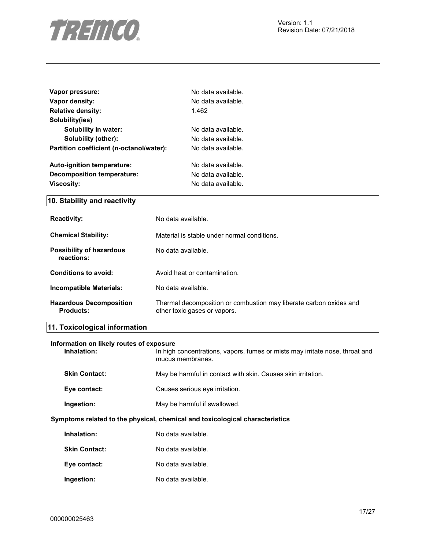

| Vapor pressure:                          | No data available. |
|------------------------------------------|--------------------|
| Vapor density:                           | No data available. |
| <b>Relative density:</b>                 | 1.462              |
| Solubility(ies)                          |                    |
| Solubility in water:                     | No data available. |
| Solubility (other):                      | No data available. |
| Partition coefficient (n-octanol/water): | No data available. |
| Auto-ignition temperature:               | No data available. |
| Decomposition temperature:               | No data available. |
| <b>Viscosity:</b>                        | No data available. |
| 10. Stability and reactivity             |                    |
| <b>Dogotivity:</b>                       | No data availahla  |

| <b>Reactivity:</b>                                 | no data avaliable.                                                                                 |
|----------------------------------------------------|----------------------------------------------------------------------------------------------------|
| <b>Chemical Stability:</b>                         | Material is stable under normal conditions.                                                        |
| <b>Possibility of hazardous</b><br>reactions:      | No data available.                                                                                 |
| Conditions to avoid:                               | Avoid heat or contamination.                                                                       |
| Incompatible Materials:                            | No data available.                                                                                 |
| <b>Hazardous Decomposition</b><br><b>Products:</b> | Thermal decomposition or combustion may liberate carbon oxides and<br>other toxic gases or vapors. |

## **11. Toxicological information**

| Information on likely routes of exposure<br>Inhalation: | In high concentrations, vapors, fumes or mists may irritate nose, throat and<br>mucus membranes. |
|---------------------------------------------------------|--------------------------------------------------------------------------------------------------|
| <b>Skin Contact:</b>                                    | May be harmful in contact with skin. Causes skin irritation.                                     |
| Eye contact:                                            | Causes serious eve irritation.                                                                   |
| Ingestion:                                              | May be harmful if swallowed.                                                                     |
|                                                         | Symptoms related to the physical, chemical and toxicological characteristics                     |
| Inhalation:                                             | No data available.                                                                               |
| <b>Skin Contact:</b>                                    | No data available.                                                                               |
| Eye contact:                                            | No data available.                                                                               |
| Ingestion:                                              | No data available.                                                                               |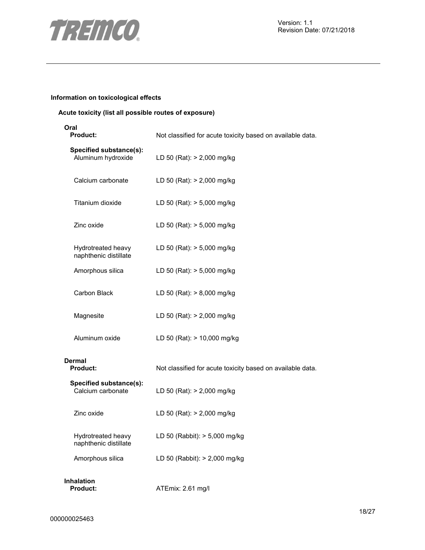

## **Information on toxicological effects**

## **Acute toxicity (list all possible routes of exposure)**

| Oral<br><b>Product:</b>                       | Not classified for acute toxicity based on available data. |  |
|-----------------------------------------------|------------------------------------------------------------|--|
| Specified substance(s):<br>Aluminum hydroxide | LD 50 (Rat): > 2,000 mg/kg                                 |  |
| Calcium carbonate                             | LD 50 (Rat): > 2,000 mg/kg                                 |  |
| Titanium dioxide                              | LD 50 (Rat): > 5,000 mg/kg                                 |  |
| Zinc oxide                                    | LD 50 (Rat): > 5,000 mg/kg                                 |  |
| Hydrotreated heavy<br>naphthenic distillate   | LD 50 (Rat): > 5,000 mg/kg                                 |  |
| Amorphous silica                              | LD 50 (Rat): > 5,000 mg/kg                                 |  |
| Carbon Black                                  | LD 50 (Rat): > 8,000 mg/kg                                 |  |
| Magnesite                                     | LD 50 (Rat): > 2,000 mg/kg                                 |  |
| Aluminum oxide                                | LD 50 (Rat): > 10,000 mg/kg                                |  |
| Dermal<br><b>Product:</b>                     | Not classified for acute toxicity based on available data. |  |
| Specified substance(s):<br>Calcium carbonate  | LD 50 (Rat): > 2,000 mg/kg                                 |  |
| Zinc oxide                                    | LD 50 (Rat): > 2,000 mg/kg                                 |  |
| Hydrotreated heavy<br>naphthenic distillate   | LD 50 (Rabbit): > 5,000 mg/kg                              |  |
| Amorphous silica                              | LD 50 (Rabbit): > 2,000 mg/kg                              |  |
| <b>Inhalation</b><br><b>Product:</b>          | ATEmix: 2.61 mg/l                                          |  |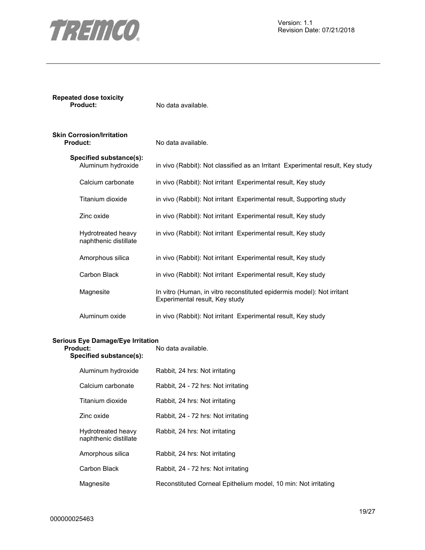

**Repeated dose toxicity** 

| Skin Corrosion/Irritation<br>Product:         | No data available.                                                             |
|-----------------------------------------------|--------------------------------------------------------------------------------|
| Specified substance(s):<br>Aluminum hydroxide | in vivo (Rabbit): Not classified as an Irritant Experimental result, Key study |
| Calcium carbonate                             | in vivo (Rabbit): Not irritant Experimental result, Key study                  |
| Titanium dioxide                              | in vivo (Rabbit): Not irritant Experimental result, Supporting study           |
| Zinc oxide                                    | in vivo (Rabbit): Not irritant Experimental result, Key study                  |
| Hydrotreated heavy<br>naphthenic distillate   | in vivo (Rabbit): Not irritant Experimental result, Key study                  |

No data available.

| Amorphous silica | in vivo (Rabbit): Not irritant Experimental result, Key study                                            |
|------------------|----------------------------------------------------------------------------------------------------------|
| Carbon Black     | in vivo (Rabbit): Not irritant Experimental result, Key study                                            |
| Magnesite        | In vitro (Human, in vitro reconstituted epidermis model): Not irritant<br>Experimental result, Key study |
| Aluminum oxide   | in vivo (Rabbit): Not irritant Experimental result, Key study                                            |

## **Serious Eye Damage/Eye Irritation**

| Product:<br>Specified substance(s):         | No data available.                                             |  |
|---------------------------------------------|----------------------------------------------------------------|--|
| Aluminum hydroxide                          | Rabbit, 24 hrs: Not irritating                                 |  |
| Calcium carbonate                           | Rabbit, 24 - 72 hrs: Not irritating                            |  |
| Titanium dioxide                            | Rabbit, 24 hrs: Not irritating                                 |  |
| Zinc oxide                                  | Rabbit, 24 - 72 hrs: Not irritating                            |  |
| Hydrotreated heavy<br>naphthenic distillate | Rabbit, 24 hrs: Not irritating                                 |  |
| Amorphous silica                            | Rabbit, 24 hrs: Not irritating                                 |  |
| Carbon Black                                | Rabbit, 24 - 72 hrs: Not irritating                            |  |
| Magnesite                                   | Reconstituted Corneal Epithelium model, 10 min: Not irritating |  |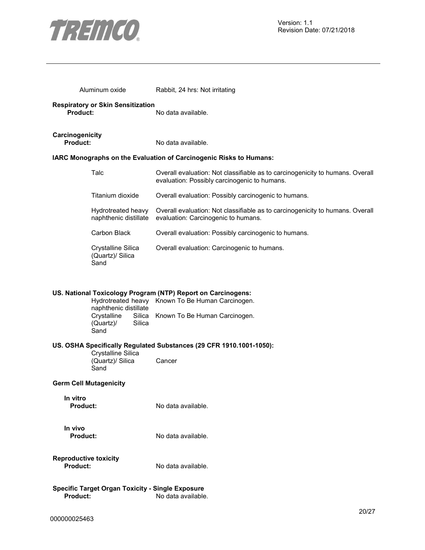

| Aluminum oxide                                                                | Rabbit, 24 hrs: Not irritating                                                                                                                    |  |
|-------------------------------------------------------------------------------|---------------------------------------------------------------------------------------------------------------------------------------------------|--|
| <b>Respiratory or Skin Sensitization</b><br>Product:                          | No data available.                                                                                                                                |  |
| Carcinogenicity<br><b>Product:</b>                                            | No data available.                                                                                                                                |  |
|                                                                               | IARC Monographs on the Evaluation of Carcinogenic Risks to Humans:                                                                                |  |
| Talc                                                                          | Overall evaluation: Not classifiable as to carcinogenicity to humans. Overall<br>evaluation: Possibly carcinogenic to humans.                     |  |
| Titanium dioxide                                                              | Overall evaluation: Possibly carcinogenic to humans.                                                                                              |  |
| Hydrotreated heavy<br>naphthenic distillate                                   | Overall evaluation: Not classifiable as to carcinogenicity to humans. Overall<br>evaluation: Carcinogenic to humans.                              |  |
| Carbon Black                                                                  | Overall evaluation: Possibly carcinogenic to humans.                                                                                              |  |
| Crystalline Silica<br>(Quartz)/ Silica<br>Sand                                | Overall evaluation: Carcinogenic to humans.                                                                                                       |  |
| naphthenic distillate<br>Crystalline<br>Silica<br>Silica<br>(Quartz)/<br>Sand | US. National Toxicology Program (NTP) Report on Carcinogens:<br>Hydrotreated heavy Known To Be Human Carcinogen.<br>Known To Be Human Carcinogen. |  |
|                                                                               | US. OSHA Specifically Regulated Substances (29 CFR 1910.1001-1050):                                                                               |  |
| Crystalline Silica<br>(Quartz)/ Silica<br>Sand                                | Cancer                                                                                                                                            |  |
| <b>Germ Cell Mutagenicity</b>                                                 |                                                                                                                                                   |  |
| In vitro<br><b>Product:</b>                                                   | No data available.                                                                                                                                |  |
| In vivo<br><b>Product:</b>                                                    | No data available.                                                                                                                                |  |
| <b>Reproductive toxicity</b><br><b>Product:</b>                               | No data available.                                                                                                                                |  |
| <b>Specific Target Organ Toxicity - Single Exposure</b><br><b>Product:</b>    | No data available.                                                                                                                                |  |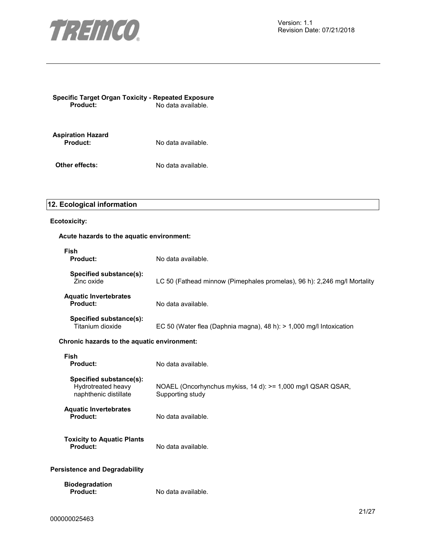

|                 | <b>Specific Target Organ Toxicity - Repeated Exposure</b> |
|-----------------|-----------------------------------------------------------|
| <b>Product:</b> | No data available.                                        |

**Aspiration Hazard**  No data available.

**Other effects:** No data available.

## **12. Ecological information**

## **Ecotoxicity:**

## **Acute hazards to the aquatic environment:**

| <b>Fish</b><br>Product:                                                | No data available.                                                              |  |  |
|------------------------------------------------------------------------|---------------------------------------------------------------------------------|--|--|
| Specified substance(s):<br>Zinc oxide                                  | LC 50 (Fathead minnow (Pimephales promelas), 96 h): 2,246 mg/l Mortality        |  |  |
| <b>Aquatic Invertebrates</b><br>Product:                               | No data available.                                                              |  |  |
| Specified substance(s):<br>Titanium dioxide                            | EC 50 (Water flea (Daphnia magna), 48 h): $> 1,000$ mg/l Intoxication           |  |  |
|                                                                        | Chronic hazards to the aquatic environment:                                     |  |  |
| Fish<br>Product:                                                       | No data available.                                                              |  |  |
| Specified substance(s):<br>Hydrotreated heavy<br>naphthenic distillate | NOAEL (Oncorhynchus mykiss, 14 d): >= 1,000 mg/l QSAR QSAR,<br>Supporting study |  |  |
| <b>Aquatic Invertebrates</b><br>Product:                               | No data available.                                                              |  |  |
| <b>Toxicity to Aquatic Plants</b><br>Product:                          | No data available.                                                              |  |  |
| <b>Persistence and Degradability</b>                                   |                                                                                 |  |  |
| <b>Biodegradation</b><br><b>Product:</b>                               | No data available.                                                              |  |  |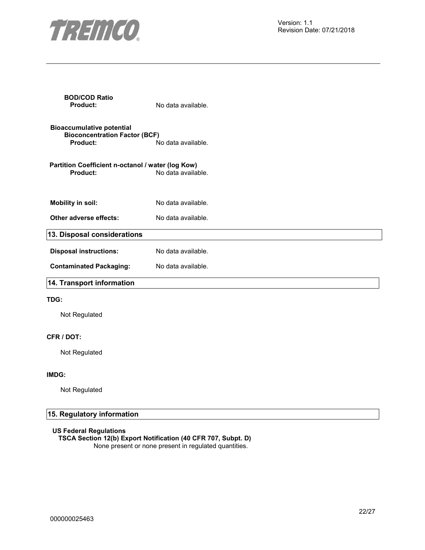

| <b>BOD/COD Ratio</b><br><b>Product:</b>                                                     | No data available. |  |
|---------------------------------------------------------------------------------------------|--------------------|--|
| <b>Bioaccumulative potential</b><br><b>Bioconcentration Factor (BCF)</b><br><b>Product:</b> | No data available. |  |
| Partition Coefficient n-octanol / water (log Kow)<br><b>Product:</b>                        | No data available. |  |
| <b>Mobility in soil:</b>                                                                    | No data available. |  |
| Other adverse effects:                                                                      | No data available. |  |
| 13. Disposal considerations                                                                 |                    |  |
| <b>Disposal instructions:</b>                                                               | No data available. |  |
| <b>Contaminated Packaging:</b>                                                              | No data available. |  |
| 14. Transport information                                                                   |                    |  |

## **TDG:**

Not Regulated

## **CFR / DOT:**

Not Regulated

## **IMDG:**

Not Regulated

## **15. Regulatory information**

**US Federal Regulations**

**TSCA Section 12(b) Export Notification (40 CFR 707, Subpt. D)**  None present or none present in regulated quantities.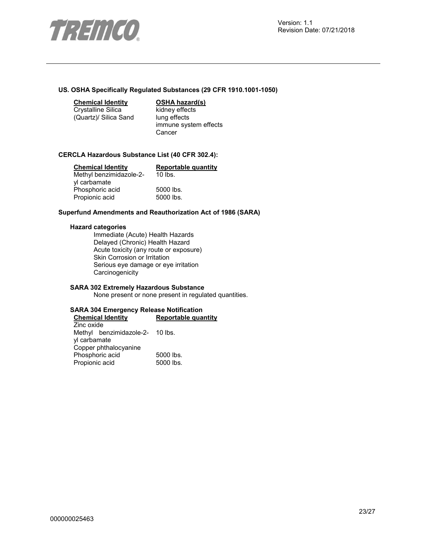

#### **US. OSHA Specifically Regulated Substances (29 CFR 1910.1001-1050)**

**Chemical Identity OSHA hazard(s)** 

Crystalline Silica (Quartz)/ Silica Sand kidney effects lung effects immune system effects **Cancer** 

#### **CERCLA Hazardous Substance List (40 CFR 302.4):**

| <b>Chemical Identity</b> | <b>Reportable quantity</b> |
|--------------------------|----------------------------|
| Methyl benzimidazole-2-  | $10$ lbs.                  |
| yl carbamate             |                            |
| Phosphoric acid          | 5000 lbs.                  |
| Propionic acid           | 5000 lbs.                  |

#### **Superfund Amendments and Reauthorization Act of 1986 (SARA)**

#### **Hazard categories**

Immediate (Acute) Health Hazards Delayed (Chronic) Health Hazard Acute toxicity (any route or exposure) Skin Corrosion or Irritation Serious eye damage or eye irritation **Carcinogenicity** 

## **SARA 302 Extremely Hazardous Substance**

None present or none present in regulated quantities.

#### **SARA 304 Emergency Release Notification Chemical Identity Reportable quantity**

Zinc oxide Methyl benzimidazole-2- 10 lbs. yl carbamate Copper phthalocyanine Phosphoric acid 5000 lbs.<br>Propionic acid 5000 lbs. Propionic acid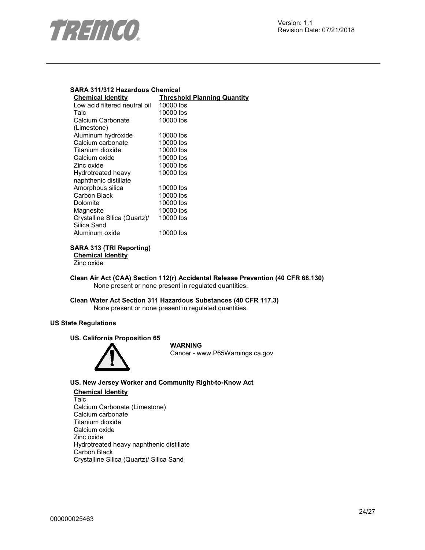

## **SARA 311/312 Hazardous Chemical**

| <b>Chemical Identity</b>      | <b>Threshold Planning Quantity</b> |
|-------------------------------|------------------------------------|
| Low acid filtered neutral oil | 10000 lbs                          |
| Talc                          | 10000 lbs                          |
| Calcium Carbonate             | 10000 lbs                          |
| (Limestone)                   |                                    |
| Aluminum hydroxide            | 10000 lbs                          |
| Calcium carbonate             | 10000 lbs                          |
| Titanium dioxide              | 10000 lbs                          |
| Calcium oxide                 | 10000 lbs                          |
| Zinc oxide                    | 10000 lbs                          |
| Hydrotreated heavy            | 10000 lbs                          |
| naphthenic distillate         |                                    |
| Amorphous silica              | 10000 lbs                          |
| Carbon Black                  | 10000 lbs                          |
| Dolomite                      | 10000 lbs                          |
| Magnesite                     | 10000 lbs                          |
| Crystalline Silica (Quartz)/  | 10000 lbs                          |
| Silica Sand                   |                                    |
| Aluminum oxide                | 10000 lbs                          |
|                               |                                    |

### **SARA 313 (TRI Reporting) Chemical Identity**

Zinc oxide

**Clean Air Act (CAA) Section 112(r) Accidental Release Prevention (40 CFR 68.130)**  None present or none present in regulated quantities.

**Clean Water Act Section 311 Hazardous Substances (40 CFR 117.3)**  None present or none present in regulated quantities.

## **US State Regulations**

**US. California Proposition 65** 



**WARNING** Cancer - www.P65Warnings.ca.gov

## **US. New Jersey Worker and Community Right-to-Know Act**

## **Chemical Identity** Talc Calcium Carbonate (Limestone) Calcium carbonate Titanium dioxide Calcium oxide Zinc oxide Hydrotreated heavy naphthenic distillate Carbon Black Crystalline Silica (Quartz)/ Silica Sand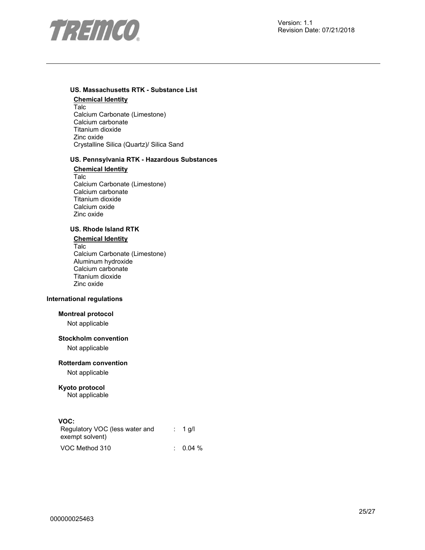

## **US. Massachusetts RTK - Substance List**

**Chemical Identity** Talc Calcium Carbonate (Limestone) Calcium carbonate Titanium dioxide Zinc oxide Crystalline Silica (Quartz)/ Silica Sand

## **US. Pennsylvania RTK - Hazardous Substances**

**Chemical Identity** Talc Calcium Carbonate (Limestone) Calcium carbonate Titanium dioxide Calcium oxide Zinc oxide

## **US. Rhode Island RTK**

**Chemical Identity** Talc Calcium Carbonate (Limestone) Aluminum hydroxide Calcium carbonate Titanium dioxide Zinc oxide

## **International regulations**

## **Montreal protocol**

Not applicable

#### **Stockholm convention**

Not applicable

#### **Rotterdam convention**

Not applicable

## **Kyoto protocol**

Not applicable

## **VOC:**

| Regulatory VOC (less water and<br>exempt solvent) | $: 1$ q/l           |
|---------------------------------------------------|---------------------|
| VOC Method 310                                    | $\therefore$ 0.04 % |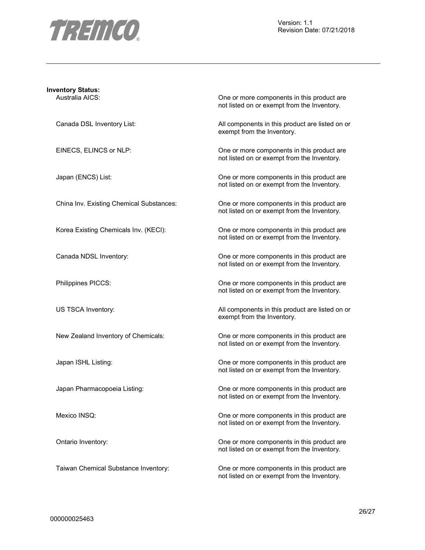

| <b>Inventory Status:</b>                 |                                                                                           |
|------------------------------------------|-------------------------------------------------------------------------------------------|
| Australia AICS:                          | One or more components in this product are<br>not listed on or exempt from the Inventory. |
| Canada DSL Inventory List:               | All components in this product are listed on or<br>exempt from the Inventory.             |
| EINECS, ELINCS or NLP:                   | One or more components in this product are<br>not listed on or exempt from the Inventory. |
| Japan (ENCS) List:                       | One or more components in this product are<br>not listed on or exempt from the Inventory. |
| China Inv. Existing Chemical Substances: | One or more components in this product are<br>not listed on or exempt from the Inventory. |
| Korea Existing Chemicals Inv. (KECI):    | One or more components in this product are<br>not listed on or exempt from the Inventory. |
| Canada NDSL Inventory:                   | One or more components in this product are<br>not listed on or exempt from the Inventory. |
| Philippines PICCS:                       | One or more components in this product are<br>not listed on or exempt from the Inventory. |
| US TSCA Inventory:                       | All components in this product are listed on or<br>exempt from the Inventory.             |
| New Zealand Inventory of Chemicals:      | One or more components in this product are<br>not listed on or exempt from the Inventory. |
| Japan ISHL Listing:                      | One or more components in this product are<br>not listed on or exempt from the Inventory. |
| Japan Pharmacopoeia Listing:             | One or more components in this product are<br>not listed on or exempt from the Inventory. |
| Mexico INSQ:                             | One or more components in this product are<br>not listed on or exempt from the Inventory. |
| Ontario Inventory:                       | One or more components in this product are<br>not listed on or exempt from the Inventory. |
| Taiwan Chemical Substance Inventory:     | One or more components in this product are                                                |

not listed on or exempt from the Inventory.